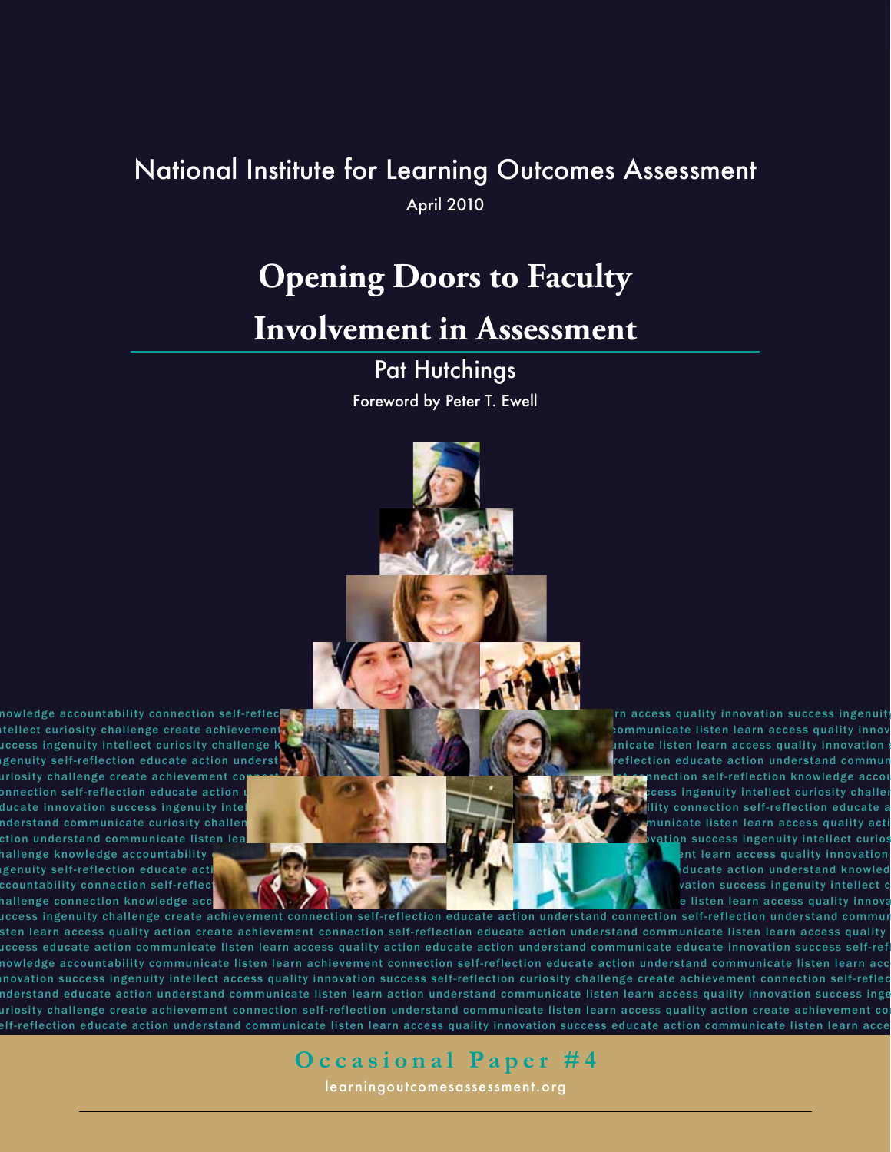# National Institute for Learning Outcomes Assessment

April 2010

# **Opening Doors to Faculty**

# **Involvement in Assessment**

Pat Hutchings Foreword by Peter T. Ewell

nowledge accountability connection self-reflect when we want to the word of the constant who is a state who is the constant who is a state who is a state whole whole whole whole whole whole whole whole whole whole whole wh

LQ WHOOHF WFX ULRVL W\FKDOOHQJHF UHD WHDFKLHYHPHQ WFRQQHF WLRQVHO I UH IOHF WLRQHGXFD WHDF WLRQXQGH UV WDQGFRPPXQLFD WHOLV WHQOHD UQDFFHVVTXDOL W\LQQRYD WLRQ VCCESS ingenuity intellect curiosity challenge konstantion who have a series of the constant who was a series of the constant whole whole whole whole whole whole whole whole whole whole whole whole whole whole whole whole LQJHQXL W\VHO I UH IOHF WLRQHGXFD WHDF WLRQXQGH UV WDQGLQ WHOOHF WNQRZOHGJHDFFRXQ WDELOL W\FRQQHF WLRQVHO I UH IOHF WLRQHGXFD WHDF WLRQXQGH UV WDQGFRPPXQLFD WH FX ULRVL W\FKDOOHQJHF UHD WHDFKLHYHPHQ WFRQQHF WLRQVHO I UH IOHF WLRQFX ULRVL W\FKDOOHQJHF UHD WHDFKLHYHPHQ WFRQQHF WLRQVHO I UH IOHF WLRQNQRZOHGJHDFFRXQ WDELOL W\ FRQQHF WLRQVHO I UH IOHF WLRQHGXFD WHDF WLRQXQGH UV WDQGFRPPXQLFD WHOLV WHQOHD UQDFFHVVTXDOL W\LQQRYD WLRQVXFFHVVLQJHQXL W\LQ WHOOHF WFX ULRVL W\FKDOOHQJH ducate innovation success ingenuity intel which when when we have a strategies when we have a strategies when we have worked when we have a strategies when we have a strategies when we have a strategies when we have a stra XQGH UV WDQGFRPPXQLFD WHFX ULRVL W\FKDOOHQJHF UHD WHDFKLHYHPHQ WFRQQHF WLRQVHO I UH IOHF WLRQXQGH UV WDQGFRPPXQLFD WHOLV WHQOHD UQDFFHVVTXDOL W\DF WLRQHGXFD WH Ction understand communicate listen lea**n and whole whole whole whole whole wholy wholy wholy whole whole whole whole whole whole whole whole whole whole whole whole whole whole whole whole whole whole whole whole whole wh** THE STADD OF THE UNDERGRADING WORLD WARD IN THE UNDERGRADE OF THE UNDERGRADE OF THE UNDERGRADE OF THE UNDERGRADE OF THE UNDERGRADE OF THE UNDERGRADE OF THE UNDERGRADE OF THE UNDERGRADE OF THE UNDERGRADE OF THE UNDERGRADE O LQULQJHQXL W\VHO I UH IOHF WLRQHGXFD WORLD WARD WORLD WARD WARD WAS LOCAL UH IOHF WLRQHGXFD WORLD WARD WORLD WARD WORLD WARD WAS LOCAL UH IOHF WARD WAS LOCAL UNDOWN WAS LOCAL UH IOHF WAS LOCAL UH IOHF WAS LOCAL UNDOWN WAS CCOUNTABIlity connection self-reflect who is a strategies who is a strategies who is a strategies who is a strategies who is a strategies whole whole whole whole whole whole whole whole whole whole whole whole whole whole TADOOHQIGHDADOOHQIGHDADOOHQIGHDADOOHADA UH IOHF WAXAY WAXAY WAXAY WAXAY WURAA IIOHADA UQDFFRXQQADHIY UH IOHF WLRQHGXFD WAXAY WAXAY WAXAY WAXAY WAXAY WAXAY WAXAY WAXAY WAXAY WAXAY WAXAY WAXAY WAXAY WAXAY WAXAY WAXAY WAXAY W

1DWLRQDO,QVWLWXWHIRU/HDUQLQJ2XWFRPHV

uccess ingenuity challenge create achievement connection self-reflection educate action understand connection self-reflection understand commur sten learn access quality action create achievement connection self-reflection educate action understand communicate listen learn access quality uccess educate action communicate listen learn access quality action educate action understand communicate educate innovation success self-ref nowledge accountability communicate listen learn achievement connection self-reflection educate action understand communicate listen learn acc novation success ingenuity intellect access quality innovation success self-reflection curiosity challenge create achievement connection self-reflec nderstand educate action understand communicate listen learn action understand communicate listen learn access quality innovation success inge iosity challenge create achievement connection self-reflection understand communicate listen learn access quality action create achievement control with the Word Western Western Western Western Western Western Western West elf-reflection educate action understand communicate listen learn access quality innovation success educate action communicate listen learn acce

**Occasional Paper #4** 

learningoutcomesassessment.org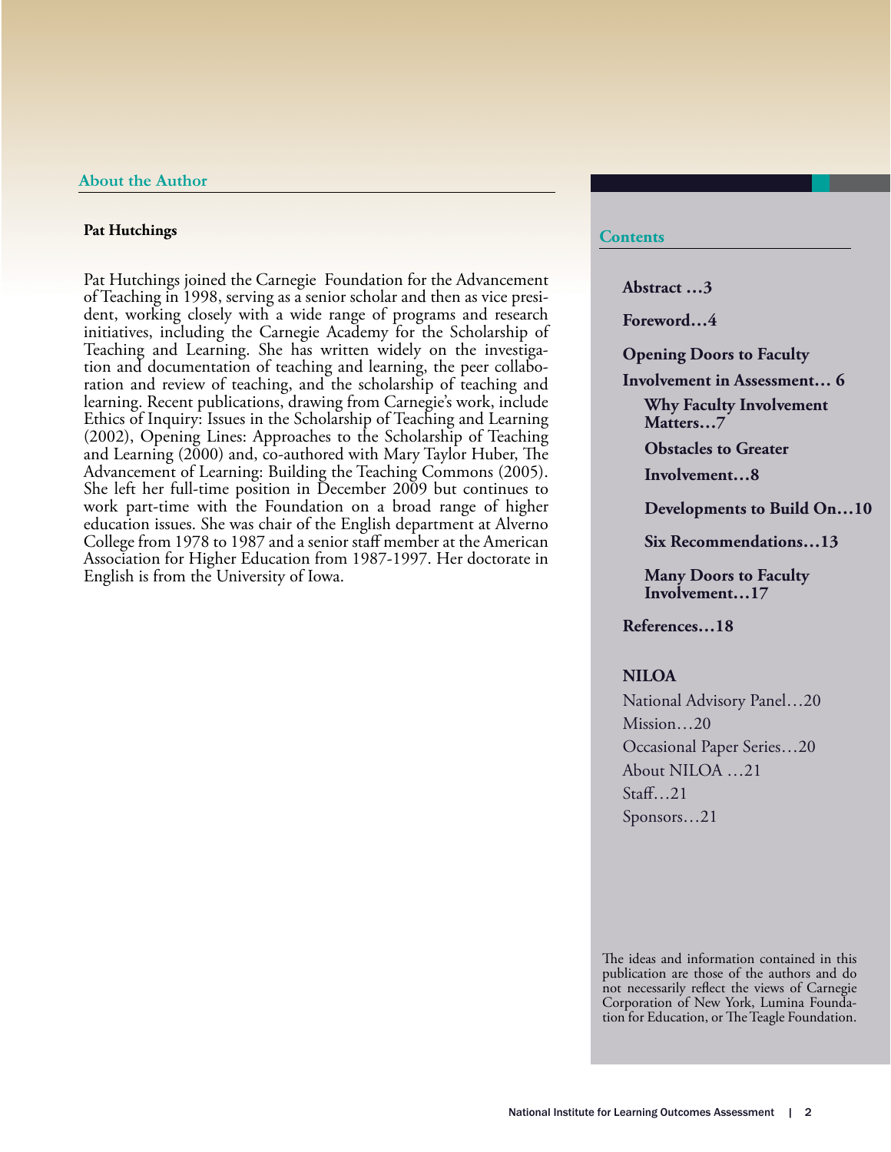#### **Pat Hutchings**

Pat Hutchings joined the Carnegie Foundation for the Advancement of Teaching in 1998, serving as a senior scholar and then as vice president, working closely with a wide range of programs and research initiatives, including the Carnegie Academy for the Scholarship of Teaching and Learning. She has written widely on the investiga- tion and documentation of teaching and learning, the peer collabo- ration and review of teaching, and the scholarship of teaching and learning. Recent publications, drawing from Carnegie's work, include Ethics of Inquiry: Issues in the Scholarship of Teaching and Learning (2002), Opening Lines: Approaches to the Scholarship of Teaching and Learning  $(2000)$  and, co-authored with Mary Taylor Huber, The Advancement of Learning: Building the Teaching Commons (2005). She left her full-time position in December 2009 but continues to work part-time with the Foundation on a broad range of higher education issues. She was chair of the English department at Alverno College from 1978 to 1987 and a senior staff member at the American Association for Higher Education from 1987-1997. Her doctorate in English is from the University of Iowa.

#### **Contents**

**Abstract …3**

**Foreword…4**

**Opening Doors to Faculty** 

**Involvement in Assessment… 6 Why Faculty Involvement Matters…7**

**Obstacles to Greater** 

**Involvement…8**

**Developments to Build On…10**

**Six Recommendations…13**

**Many Doors to Faculty Involvement…17**

**References…18**

#### **NILOA**

National Advisory Panel…20 Mission...20 Occasional Paper Series…20 About NILOA …21  $Staff$ ...21 Sponsors…21

The ideas and information contained in this publication are those of the authors and do not necessarily reflect the views of Carnegie Corporation of New York, Lumina Foundation for Education, or The Teagle Foundation.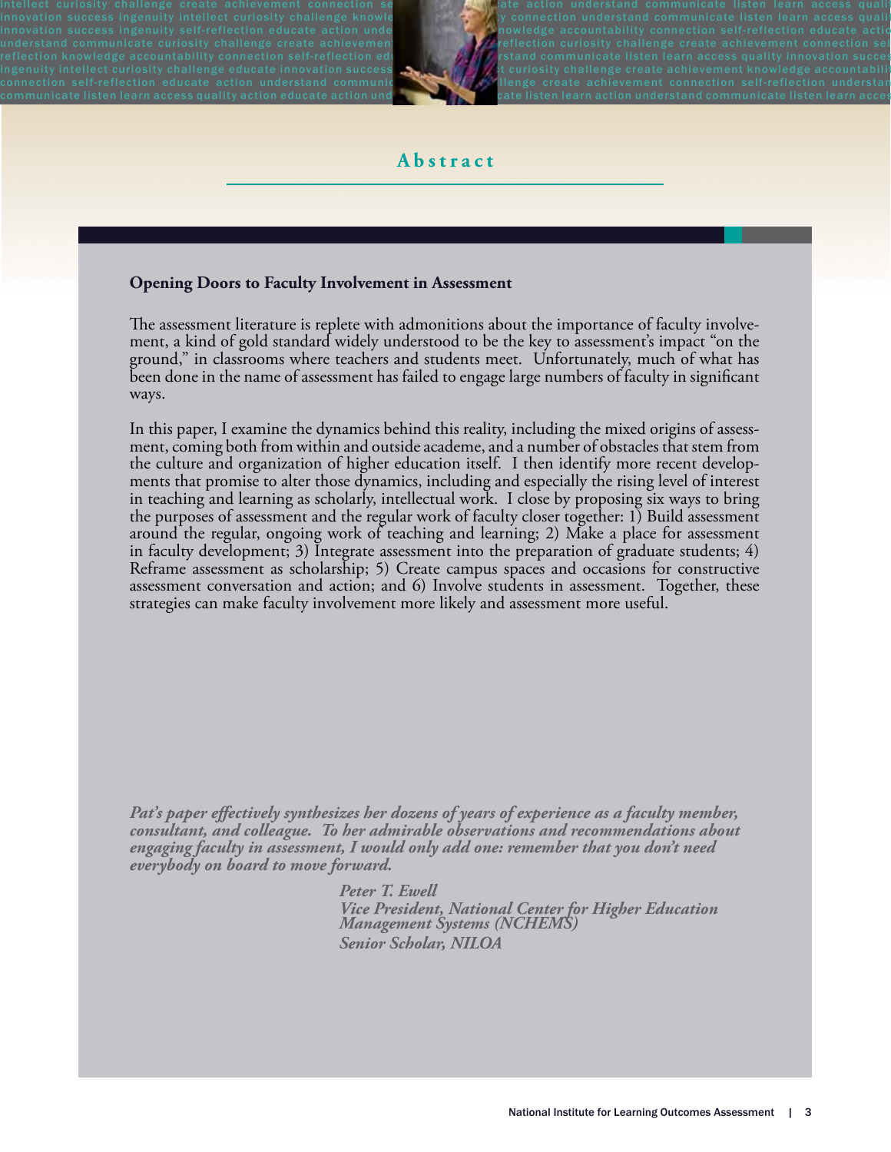intellect curiosity challenge create achievement connection sentimely at the faction understand communicate listen learn access quality innovation success ingenuity intellect curiosity challenge knowle when  $\mathcal{R}$  by connection understand communicate listen learn access quality innovation success ingenuity self-reflection educate action unde which we knowledge accountability connection self-reflection educate actio understand communicate curiosity challenge create achievement and the proflection curiosity challenge create achievement connection sel reflection knowledge accountability connection self-reflection eding which  $\mathcal{H}_k$  is and communicate listen learn access quality innovation succes ingenuity intellect curiosity challenge educate innovation success  $\mathcal{L}_\mathbf{c}$  which will will will what uniosity challenge create achievement knowledge accountability connection self-reflection educate action understand communic with a llenge create achievement connection self-reflection understand  $\sim$ communicate listen learn access quality action educate action und which when the cate listen learn action understand communicate listen learn acces



## **Abstract**

### **Opening Doors to Faculty Involvement in Assessment**

The assessment literature is replete with admonitions about the importance of faculty involvement, a kind of gold standard widely understood to be the key to assessment's impact "on the ground," in classrooms where teachers and students meet. Unfortunately, much of what has been done in the name of assessment has failed to engage large numbers of faculty in significant ways.

In this paper, I examine the dynamics behind this reality, including the mixed origins of assess- ment, coming both from within and outside academe, and a number of obstacles that stem from the culture and organization of higher education itself. I then identify more recent develop-<br>ments that promise to alter those dynamics, including and especially the rising level of interest in teaching and learning as scholarly, intellectual work. I close by proposing six ways to bring the purposes of assessment and the regular work of faculty closer together: 1) Build assessment around the regular, ongoing work of teaching and learning; 2) Make a place for assessment in faculty development; 3) Integrate assessment into the preparation of graduate students; 4) Reframe assessment as scholarship; 5) Create campus spaces and occasions for constructive assessment conversation and action; and 6) Involve students in assessment. Together, these strategies can make faculty involvement more likely and assessment more useful.

Pat's paper effectively synthesizes her dozens of years of experience as a faculty member, *consultant, and colleague. To her admirable observations and recommendations about engaging faculty in assessment, I would only add one: remember that you don't need everybody on board to move forward.* 

> *Peter T. Ewell Vice President, National Center for Higher Education Management Systems (NCHEMS) Senior Scholar, NILOA*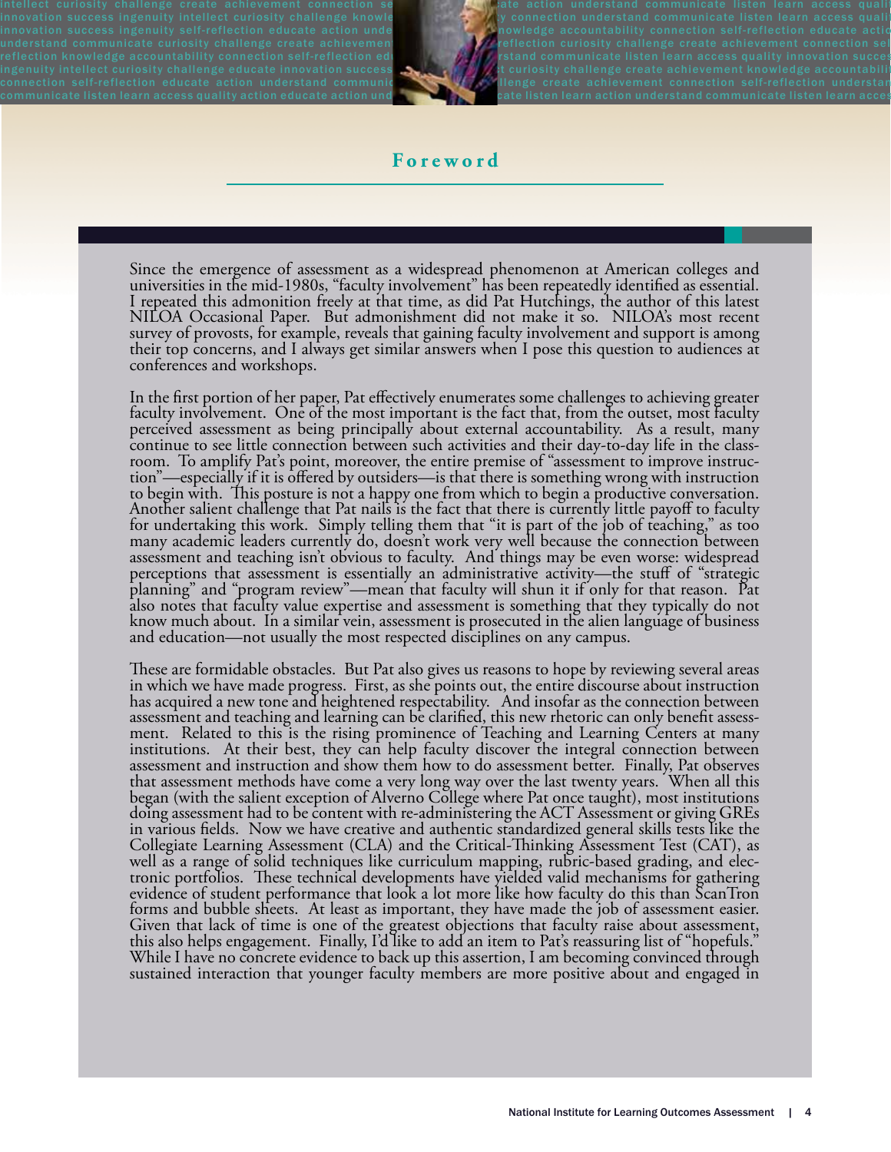intellect curiosity challenge create achievement connection sentimely at the faction understand communicate listen learn access quality innovation success ingenuity intellect curiosity challenge knowle when  $\mathcal{R}$  by connection understand communicate listen learn access quality innovation success ingenuity self-reflection educate action unde which we knowledge accountability connection self-reflection educate actio understand communicate curiosity challenge create achievement and the proflection curiosity challenge create achievement connection sel reflection knowledge accountability connection self-reflection eding which  $\mathcal{H}_k$  is and communicate listen learn access quality innovation succes ingenuity intellect curiosity challenge educate innovation success  $\mathcal{L}_\mathbf{c}$  which will will will what uniosity challenge create achievement knowledge accountability connection self-reflection educate action understand communic with a llenge create achievement connection self-reflection understand  $\sim$ communicate listen learn access quality action educate action und which when the cate listen learn action understand communicate listen learn acces



## **Foreword**

Since the emergence of assessment as a widespread phenomenon at American colleges and universities in the mid-1980s, "faculty involvement" has been repeatedly identified as essential. I repeated this admonition freely at that time, as did Pat Hutchings, the author of this latest NILOA Occasional Paper. But admonishment did not make it so. NILOA's most recent survey of provosts, for example, reveals that gaining faculty involvement and support is among their top concerns, and I always get similar answers when I pose this question to audiences at conferences and workshops.

In the first portion of her paper, Pat effectively enumerates some challenges to achieving greater<br>faculty involvement. One of the most important is the fact that, from the outset, most faculty perceived assessment as being principally about external accountability. As a result, many<br>continue to see little connection between such activities and their day-to-day life in the classroom. To amplify Pat's point, moreover, the entire premise of "assessment to improve instruction"—especially if it is offered by outsiders—is that there is something wrong with instruction to begin with. This posture is no many academic leaders currently do, doesn't work very well because the connection between assessment and teaching isn't obvious to faculty. And things may be even worse: widespread perceptions that assessment is essentially an administrative activity—the stuff of "strategic<br>planning" and "program review"—mean that faculty will shun it if only for that reason. Pat also notes that faculty value expertise and assessment is something that they typically do not know much about. In a similar vein, assessment is prosecuted in the alien language of business and education—not usually the most respected disciplines on any campus.

These are formidable obstacles. But Pat also gives us reasons to hope by reviewing several areas in which we have made progress. First, as she points out, the entire discourse about instruction has acquired a new tone and heightened respectability. And insofar as the connection between<br>assessment and teaching and learning can be clarified, this new rhetoric can only benefit assessment. Related to this is the rising prominence of Teaching and Learning Centers at many institutions. At their best, they can help faculty discover the integral connection between assessment and instruction and show them how to do assessment better. Finally, Pat observes that assessment methods have come a very long way over the last twenty years. When all this began (with the salient exception of Alverno College where Pat once taught), most institutions doing assessment had to be content with re-administering the ACT Assessment or giving GREs in various fields. Now we have creative and authentic standardized general skills tests like the<br>Collegiate Learning Assessment (CLA) and the Critical-Thinking Assessment Test (CAT), as<br>well as a range of solid techniques forms and bubble sheets. At least as important, they have made the job of assessment easier. Given that lack of time is one of the greatest objections that faculty raise about assessment, this also helps engagement. Finally, I'd like to add an item to Pat's reassuring list of "hopefuls." While I have no concrete evidence to back up this assertion, I am becoming convinced through sustained interaction that younger faculty members are more positive about and engaged in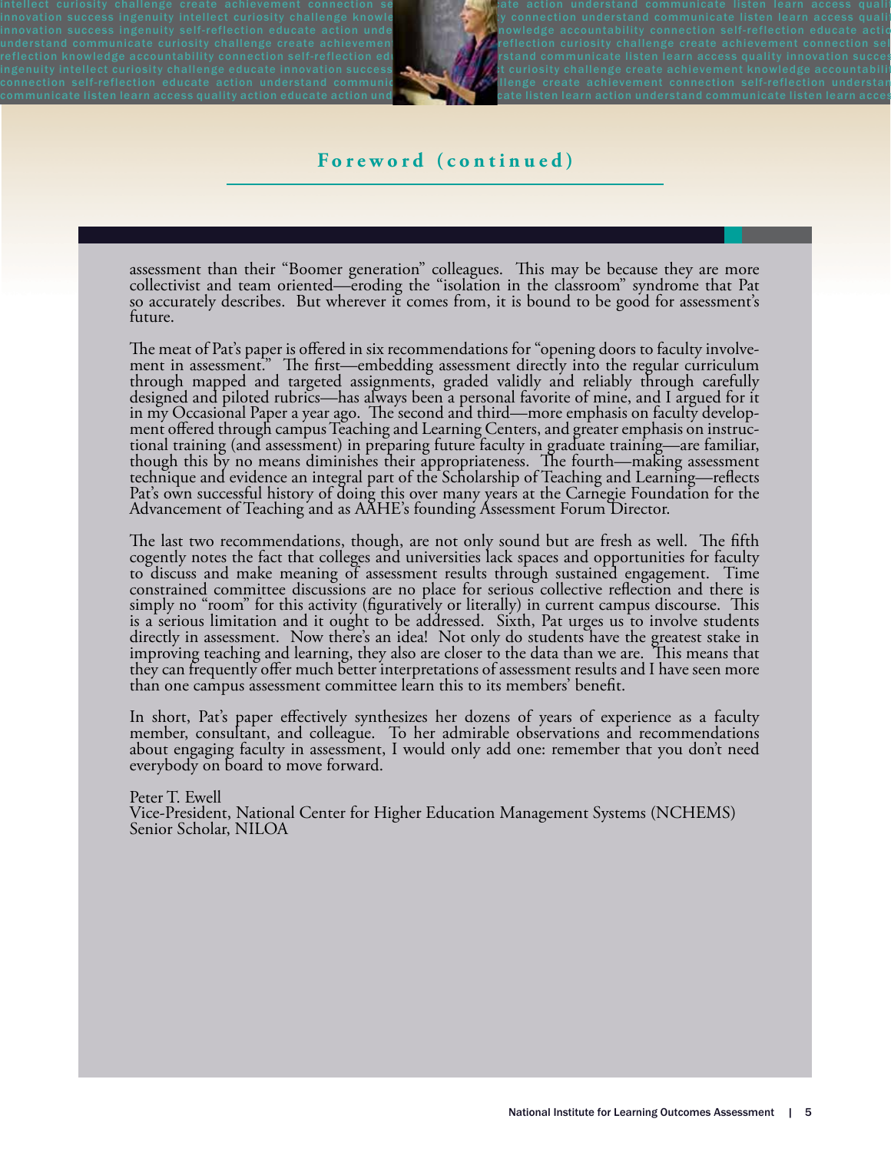intellect curiosity challenge create achievement connection sentimely at the faction understand communicate listen learn access quality innovation success ingenuity intellect curiosity challenge knowle when  $\mathcal{R}$  by connection understand communicate listen learn access quality innovation success ingenuity self-reflection educate action unde which we knowledge accountability connection self-reflection educate actio understand communicate curiosity challenge create achievement and the proflection curiosity challenge create achievement connection sel reflection knowledge accountability connection self-reflection eding which  $\mathcal{H}_k$  is and communicate listen learn access quality innovation succes ingenuity intellect curiosity challenge educate innovation success  $\mathcal{L}_\mathbf{c}$  which will will will what uniosity challenge create achievement knowledge accountability connection self-reflection educate action understand communic with a llenge create achievement connection self-reflection understand  $\sim$ communicate listen learn access quality action educate action und which when the cate listen learn action understand communicate listen learn acces



## **Foreword (continued)**

assessment than their "Boomer generation" colleagues. This may be because they are more collectivist and team oriented—eroding the "isolation in the classroom" syndrome that Pat so accurately describes. But wherever it comes from, it is bound to be good for assessment's future.

The meat of Pat's paper is offered in six recommendations for "opening doors to faculty involvement in assessment." The first—embedding assessment directly into the regular curriculum through mapped and targeted assignment designed and piloted rubrics—has always been a personal favorite of mine, and I argued for it in my Occasional Paper a year ago. The second and third—more emphasis on faculty develop-<br>ment offered through campus Teaching and Learning Centers, and greater emphasis on instruc-<br>tional training (and assessment) in prep though this by no means diminishes their appropriateness. The fourth—making assessment technique and evidence an integral part of the Scholarship of Teaching and Learning—reflects Pat's own successful history of doing this over many years at the Carnegie Foundation for the Advancement of Teaching and as AAHE's founding Assessment Forum Director.

The last two recommendations, though, are not only sound but are fresh as well. The fifth cogently notes the fact that colleges and universities lack spaces and opportunities for faculty to discuss and make meaning of assessment results through sustained engagement. Time constrained committee discussions are no place for serious collective reflection and there is simply no "room" for this activity (figuratively or literally) in current campus discourse. This is a serious limitation and it ought to be addressed. Sixth, Pat urges us to involve students directly in assessment. Now there's an idea! Not only do students have the greatest stake in improving teaching and learning, they also are closer to the data than we are. This means that they can frequently offer much better interpretations of assessment results and I have seen more than one campus assessment committee learn this to its members' benefit.

In short, Pat's paper effectively synthesizes her dozens of years of experience as a faculty member, consultant, and colleague. To her admirable observations and recommendations about engaging faculty in assessment, I would only add one: remember that you don't need everybody on board to move forward.

Peter T. Ewell Vice-President, National Center for Higher Education Management Systems (NCHEMS) Senior Scholar, NILOA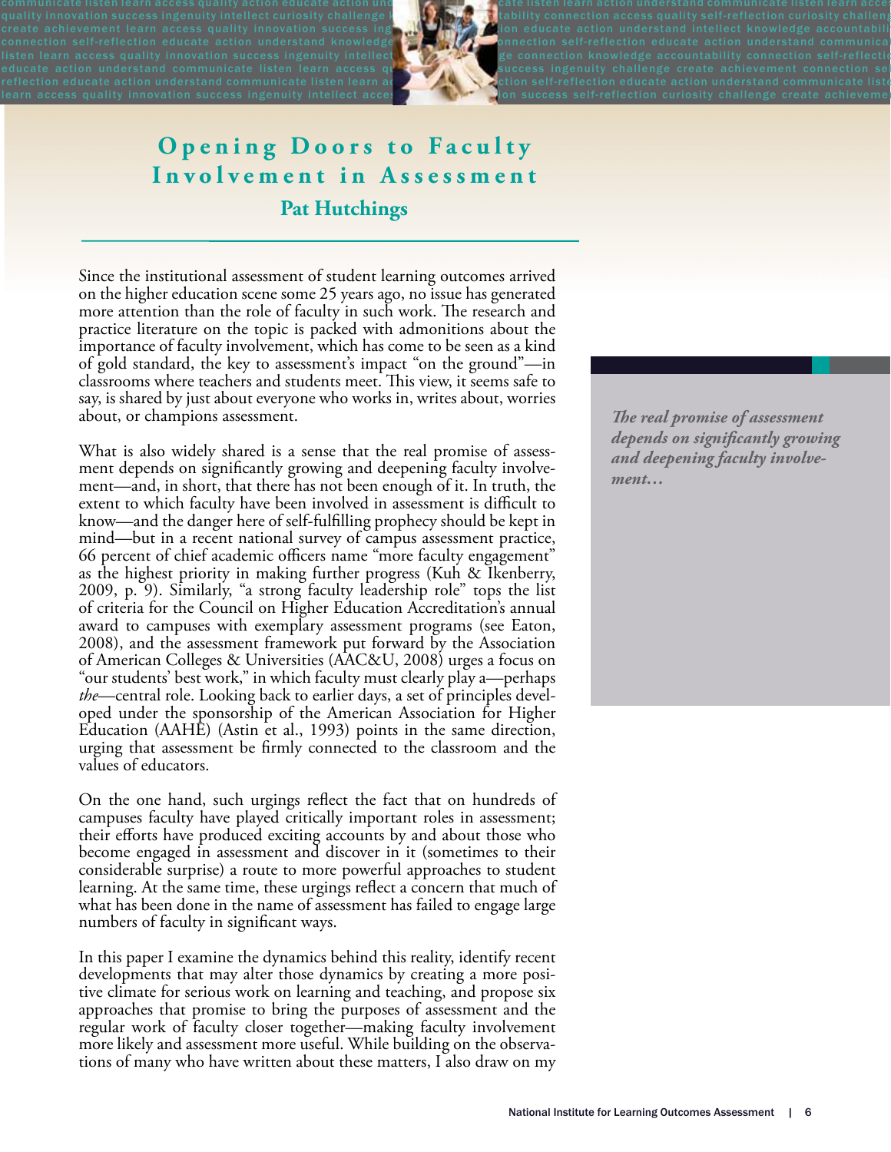communicate listen learn access quality action educate action und which we called use instentional matrix method wholestand communicate listen learn acces quality innovation success ingenuity intellect curiosity challenge knowled with the intervelon access quality self-reflection curiosity challeng create achievement learn access quality innovation success ing  $\mathbb{F}_n$  is the ducate action understand intellect knowledge accountabili connection self-reflection educate action understand knowledge **the Constant Connection self-reflection** educate action understand communica IIsten learn access quality innovation success ingenuity intellect **of the Constant Constant Paper was accountability connection self-reflectio** educate action understand communicate listen learn access quictured in success ingenuity challenge create achievement connection sel reflection educate action understand communicate listen learn at  $\mathcal{M}$  . We dition self-reflection educate action understand communicate liste Learn access quality innovation success ingenuity intellect acces and the Market Mion success self-reflection curiosity challenge create achievement



# **Opening Doors to Faculty** Involvement in Assessment **Pat Hutchings**

Since the institutional assessment of student learning outcomes arrived on the higher education scene some 25 years ago, no issue has generated more attention than the role of faculty in such work. The research and practice literature on the topic is packed with admonitions about the importance of faculty involvement, which has come to be seen as a kind of gold standard, the key to assessment's impact "on the ground"—in classrooms where teachers and students meet. This view, it seems safe to say, is shared by just about everyone who works in, writes about, worries about, or champions assessment.

What is also widely shared is a sense that the real promise of assessment depends on significantly growing and deepening faculty involvement—and, in short, that there has not been enough of it. In truth, the extent to which faculty have been involved in assessment is difficult to know—and the danger here of self-fulfilling prophecy should be kept in mind—but in a recent national survey of campus assessment practice, 66 percent of chief academic officers name "more faculty engagement" as the highest priority in making further progress (Kuh & Ikenberry, 2009, p. 9). Similarly, "a strong faculty leadership role" tops the list of criteria for the Council on Higher Education Accreditation's annual award to campuses with exemplary assessment programs (see Eaton, 2008), and the assessment framework put forward by the Association of American Colleges & Universities (AAC&U, 2008) urges a focus on "our students' best work," in which faculty must clearly play a—perhaps *the*—central role. Looking back to earlier days, a set of principles developed under the sponsorship of the American Association for Higher Education (AAHE) (Astin et al., 1993) points in the same direction, urging that assessment be \$rmly connected to the classroom and the values of educators.

On the one hand, such urgings reflect the fact that on hundreds of campuses faculty have played critically important roles in assessment; their efforts have produced exciting accounts by and about those who become engaged in assessment and discover in it (sometimes to their considerable surprise) a route to more powerful approaches to student learning. At the same time, these urgings reflect a concern that much of what has been done in the name of assessment has failed to engage large numbers of faculty in significant ways.

In this paper I examine the dynamics behind this reality, identify recent developments that may alter those dynamics by creating a more posi- tive climate for serious work on learning and teaching, and propose six approaches that promise to bring the purposes of assessment and the regular work of faculty closer together—making faculty involvement more likely and assessment more useful. While building on the observations of many who have written about these matters, I also draw on my

**The real promise of assessment** *depends on significantly growing and deepening faculty involvement…*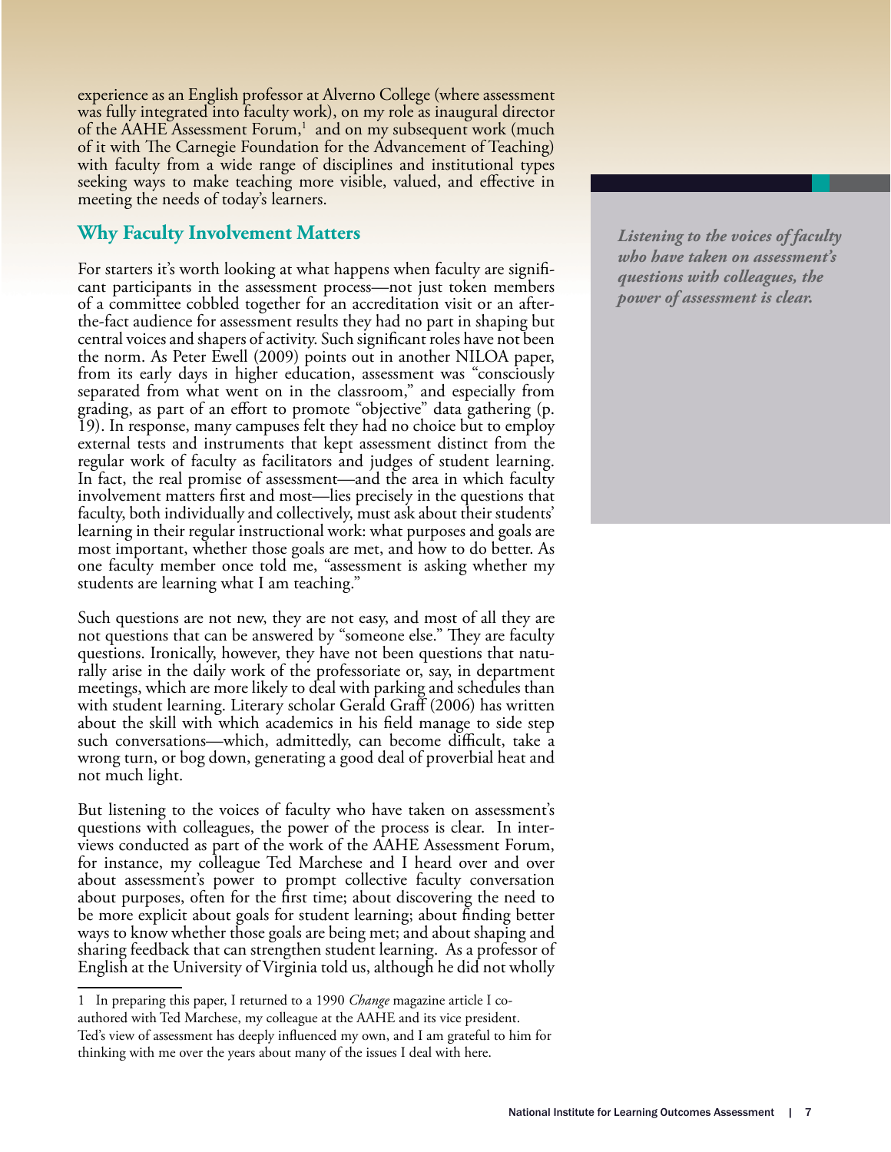experience as an English professor at Alverno College (where assessment was fully integrated into faculty work), on my role as inaugural director of the AAHE Assessment Forum,<sup>1</sup> and on my subsequent work (much of it with The Carnegie Foundation for the Advancement of Teaching) with faculty from a wide range of disciplines and institutional types seeking ways to make teaching more visible, valued, and effective in meeting the needs of today's learners.

# **Why Faculty Involvement Matters**

For starters it's worth looking at what happens when faculty are significant participants in the assessment process—not just token members of a committee cobbled together for an accreditation visit or an afterthe-fact audience for assessment results they had no part in shaping but central voices and shapers of activity. Such significant roles have not been the norm. As Peter Ewell (2009) points out in another NILOA paper, from its early days in higher education, assessment was "consciously separated from what went on in the classroom," and especially from grading, as part of an effort to promote "objective" data gathering (p. 19). In response, many campuses felt they had no choice but to employ external tests and instruments that kept assessment distinct from the regular work of faculty as facilitators and judges of student learning. In fact, the real promise of assessment—and the area in which faculty involvement matters first and most—lies precisely in the questions that faculty, both individually and collectively, must ask about their students' learning in their regular instructional work: what purposes and goals are most important, whether those goals are met, and how to do better. As one faculty member once told me, "assessment is asking whether my students are learning what I am teaching."

Such questions are not new, they are not easy, and most of all they are not questions that can be answered by "someone else." They are faculty questions. Ironically, however, they have not been questions that naturally arise in the daily work of the professoriate or, say, in department meetings, which are more likely to deal with parking and schedules than with student learning. Literary scholar Gerald Graff (2006) has written about the skill with which academics in his field manage to side step such conversations—which, admittedly, can become difficult, take a wrong turn, or bog down, generating a good deal of proverbial heat and not much light.

But listening to the voices of faculty who have taken on assessment's questions with colleagues, the power of the process is clear. In interviews conducted as part of the work of the AAHE Assessment Forum, for instance, my colleague Ted Marchese and I heard over and over about assessment's power to prompt collective faculty conversation about purposes, often for the first time; about discovering the need to be more explicit about goals for student learning; about finding better ways to know whether those goals are being met; and about shaping and sharing feedback that can strengthen student learning. As a professor of English at the University of Virginia told us, although he did not wholly

*Listening to the voices of faculty who have taken on assessment's questions with colleagues, the power of assessment is clear.* 

<sup>1</sup> In preparing this paper, I returned to a 1990 *Change* magazine article I coauthored with Ted Marchese, my colleague at the AAHE and its vice president. Ted's view of assessment has deeply influenced my own, and I am grateful to him for thinking with me over the years about many of the issues I deal with here.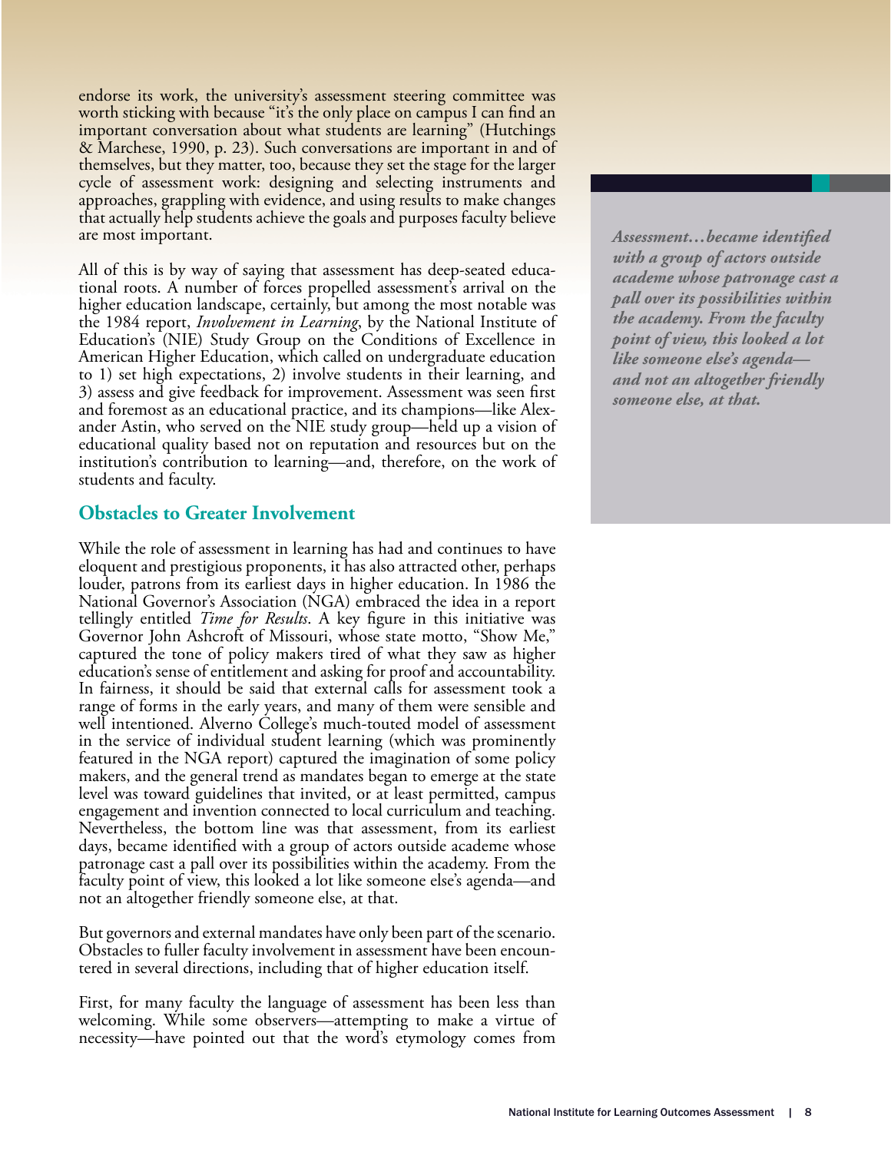endorse its work, the university's assessment steering committee was worth sticking with because "it's the only place on campus I can find an important conversation about what students are learning" (Hutchings & Marchese, 1990, p. 23). Such conversations are important in and of themselves, but they matter, too, because they set the stage for the larger cycle of assessment work: designing and selecting instruments and approaches, grappling with evidence, and using results to make changes that actually help students achieve the goals and purposes faculty believe are most important.

All of this is by way of saying that assessment has deep-seated educational roots. A number of forces propelled assessment's arrival on the higher education landscape, certainly, but among the most notable was the 1984 report, *Involvement in Learning*, by the National Institute of Education's (NIE) Study Group on the Conditions of Excellence in American Higher Education, which called on undergraduate education to 1) set high expectations, 2) involve students in their learning, and 3) assess and give feedback for improvement. Assessment was seen first and foremost as an educational practice, and its champions—like Alexander Astin, who served on the NIE study group—held up a vision of educational quality based not on reputation and resources but on the institution's contribution to learning—and, therefore, on the work of students and faculty.

### **Obstacles to Greater Involvement**

While the role of assessment in learning has had and continues to have eloquent and prestigious proponents, it has also attracted other, perhaps louder, patrons from its earliest days in higher education. In 1986 the National Governor's Association (NGA) embraced the idea in a report tellingly entitled *Time for Results*. A key figure in this initiative was Governor John Ashcroft of Missouri, whose state motto, "Show Me," captured the tone of policy makers tired of what they saw as higher education's sense of entitlement and asking for proof and accountability. In fairness, it should be said that external calls for assessment took a range of forms in the early years, and many of them were sensible and well intentioned. Alverno College's much-touted model of assessment in the service of individual student learning (which was prominently featured in the NGA report) captured the imagination of some policy makers, and the general trend as mandates began to emerge at the state level was toward guidelines that invited, or at least permitted, campus engagement and invention connected to local curriculum and teaching. Nevertheless, the bottom line was that assessment, from its earliest days, became identified with a group of actors outside academe whose patronage cast a pall over its possibilities within the academy. From the faculty point of view, this looked a lot like someone else's agenda—and not an altogether friendly someone else, at that.

But governors and external mandates have only been part of the scenario. Obstacles to fuller faculty involvement in assessment have been encountered in several directions, including that of higher education itself.

First, for many faculty the language of assessment has been less than welcoming. While some observers—attempting to make a virtue of necessity—have pointed out that the word's etymology comes from

 $\emph{Assessment...}$ *became identified with a group of actors outside academe whose patronage cast a pall over its possibilities within the academy. From the faculty point of view, this looked a lot like someone else's agenda and not an altogether friendly someone else, at that.*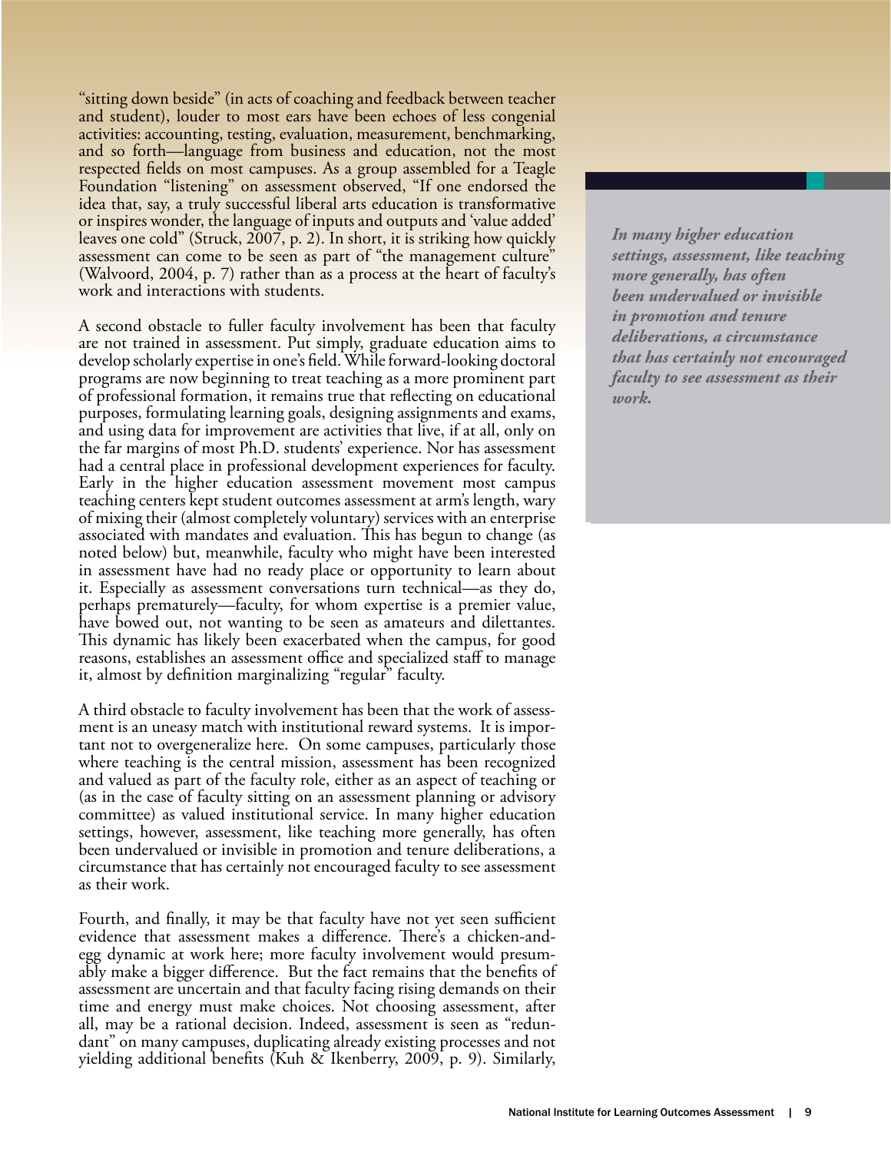"sitting down beside" (in acts of coaching and feedback between teacher and student), louder to most ears have been echoes of less congenial activities: accounting, testing, evaluation, measurement, benchmarking, and so forth—language from business and education, not the most respected fields on most campuses. As a group assembled for a Teagle Foundation "listening" on assessment observed, "If one endorsed the idea that, say, a truly successful liberal arts education is transformative or inspires wonder, the language of inputs and outputs and 'value added' leaves one cold" (Struck, 2007, p. 2). In short, it is striking how quickly assessment can come to be seen as part of "the management culture" (Walvoord, 2004, p. 7) rather than as a process at the heart of faculty's work and interactions with students.

A second obstacle to fuller faculty involvement has been that faculty are not trained in assessment. Put simply, graduate education aims to develop scholarly expertise in one's field. While forward-looking doctoral programs are now beginning to treat teaching as a more prominent part of professional formation, it remains true that reflecting on educational purposes, formulating learning goals, designing assignments and exams, and using data for improvement are activities that live, if at all, only on the far margins of most Ph.D. students' experience. Nor has assessment had a central place in professional development experiences for faculty. Early in the higher education assessment movement most campus teaching centers kept student outcomes assessment at arm's length, wary of mixing their (almost completely voluntary) services with an enterprise associated with mandates and evaluation. This has begun to change (as noted below) but, meanwhile, faculty who might have been interested in assessment have had no ready place or opportunity to learn about it. Especially as assessment conversations turn technical—as they do, perhaps prematurely—faculty, for whom expertise is a premier value, have bowed out, not wanting to be seen as amateurs and dilettantes. This dynamic has likely been exacerbated when the campus, for good reasons, establishes an assessment office and specialized staff to manage it, almost by definition marginalizing "regular" faculty.

A third obstacle to faculty involvement has been that the work of assessment is an uneasy match with institutional reward systems. It is important not to overgeneralize here. On some campuses, particularly those where teaching is the central mission, assessment has been recognized and valued as part of the faculty role, either as an aspect of teaching or (as in the case of faculty sitting on an assessment planning or advisory committee) as valued institutional service. In many higher education settings, however, assessment, like teaching more generally, has often been undervalued or invisible in promotion and tenure deliberations, a circumstance that has certainly not encouraged faculty to see assessment as their work.

Fourth, and finally, it may be that faculty have not yet seen sufficient evidence that assessment makes a difference. There's a chicken-andegg dynamic at work here; more faculty involvement would presumably make a bigger difference. But the fact remains that the benefits of assessment are uncertain and that faculty facing rising demands on their time and energy must make choices. Not choosing assessment, after all, may be a rational decision. Indeed, assessment is seen as "redun- dant" on many campuses, duplicating already existing processes and not yielding additional benefits (Kuh & Ikenberry, 2009, p. 9). Similarly,

*In many higher education settings, assessment, like teaching more generally, has often been undervalued or invisible in promotion and tenure deliberations, a circumstance that has certainly not encouraged faculty to see assessment as their work.*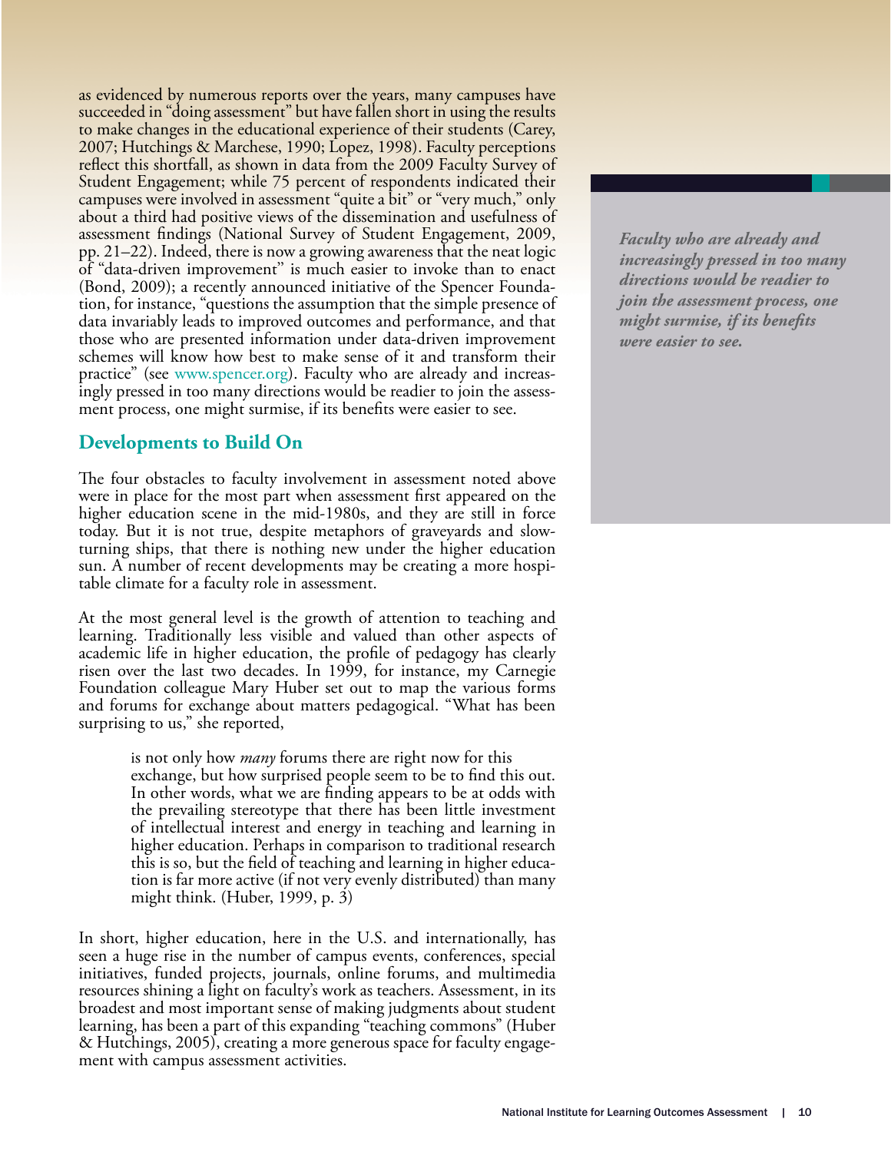as evidenced by numerous reports over the years, many campuses have succeeded in "doing assessment" but have fallen short in using the results to make changes in the educational experience of their students (Carey, 2007; Hutchings & Marchese, 1990; Lopez, 1998). Faculty perceptions reflect this shortfall, as shown in data from the 2009 Faculty Survey of Student Engagement; while 75 percent of respondents indicated their campuses were involved in assessment "quite a bit" or "very much," only about a third had positive views of the dissemination and usefulness of assessment findings (National Survey of Student Engagement, 2009, pp. 21–22). Indeed, there is now a growing awareness that the neat logic of "data-driven improvement'' is much easier to invoke than to enact (Bond, 2009); a recently announced initiative of the Spencer Foundation, for instance, "questions the assumption that the simple presence of data invariably leads to improved outcomes and performance, and that those who are presented information under data-driven improvement schemes will know how best to make sense of it and transform their practice" (see www.spencer.org). Faculty who are already and increasingly pressed in too many directions would be readier to join the assessment process, one might surmise, if its benefits were easier to see.

## **Developments to Build On**

The four obstacles to faculty involvement in assessment noted above were in place for the most part when assessment first appeared on the higher education scene in the mid-1980s, and they are still in force today. But it is not true, despite metaphors of graveyards and slowturning ships, that there is nothing new under the higher education sun. A number of recent developments may be creating a more hospitable climate for a faculty role in assessment.

At the most general level is the growth of attention to teaching and learning. Traditionally less visible and valued than other aspects of academic life in higher education, the profile of pedagogy has clearly risen over the last two decades. In 1999, for instance, my Carnegie Foundation colleague Mary Huber set out to map the various forms and forums for exchange about matters pedagogical. "What has been surprising to us," she reported,

> is not only how *many* forums there are right now for this exchange, but how surprised people seem to be to find this out. In other words, what we are finding appears to be at odds with the prevailing stereotype that there has been little investment of intellectual interest and energy in teaching and learning in higher education. Perhaps in comparison to traditional research this is so, but the field of teaching and learning in higher education is far more active (if not very evenly distributed) than many might think. (Huber, 1999, p. 3)

In short, higher education, here in the U.S. and internationally, has seen a huge rise in the number of campus events, conferences, special initiatives, funded projects, journals, online forums, and multimedia resources shining a light on faculty's work as teachers. Assessment, in its broadest and most important sense of making judgments about student learning, has been a part of this expanding "teaching commons" (Huber & Hutchings, 2005), creating a more generous space for faculty engage- ment with campus assessment activities.

*Faculty who are already and increasingly pressed in too many directions would be readier to join the assessment process, one might surmise, if its benefits were easier to see.*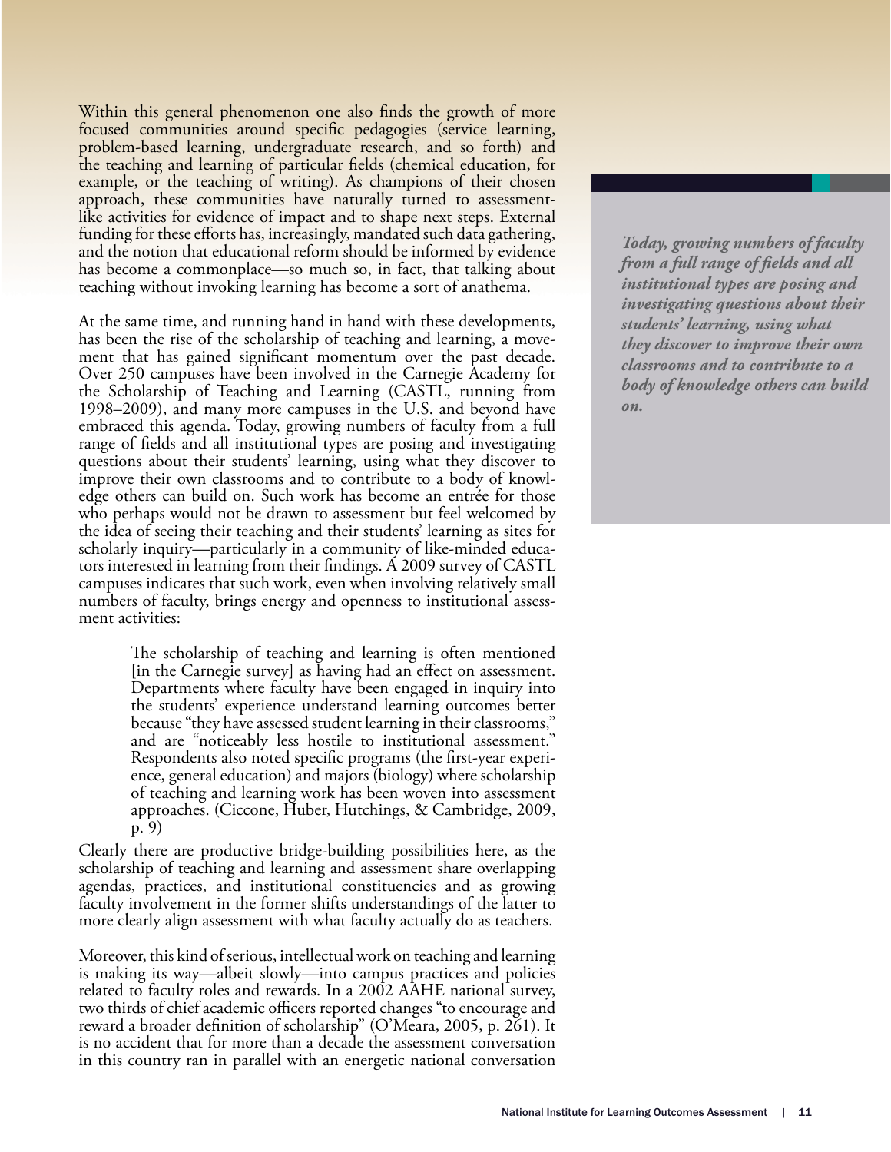Within this general phenomenon one also finds the growth of more focused communities around specific pedagogies (service learning, problem-based learning, undergraduate research, and so forth) and the teaching and learning of particular fields (chemical education, for example, or the teaching of writing). As champions of their chosen approach, these communities have naturally turned to assessmentlike activities for evidence of impact and to shape next steps. External funding for these efforts has, increasingly, mandated such data gathering, and the notion that educational reform should be informed by evidence has become a commonplace—so much so, in fact, that talking about teaching without invoking learning has become a sort of anathema.

At the same time, and running hand in hand with these developments, has been the rise of the scholarship of teaching and learning, a movement that has gained significant momentum over the past decade. Over 250 campuses have been involved in the Carnegie Academy for the Scholarship of Teaching and Learning (CASTL, running from 1998–2009), and many more campuses in the U.S. and beyond have embraced this agenda. Today, growing numbers of faculty from a full range of fields and all institutional types are posing and investigating questions about their students' learning, using what they discover to improve their own classrooms and to contribute to a body of knowl- edge others can build on. Such work has become an entrée for those who perhaps would not be drawn to assessment but feel welcomed by the idea of seeing their teaching and their students' learning as sites for scholarly inquiry—particularly in a community of like-minded educa-<br>tors interested in learning from their findings. A 2009 survey of CASTL campuses indicates that such work, even when involving relatively small numbers of faculty, brings energy and openness to institutional assess- ment activities:

> The scholarship of teaching and learning is often mentioned [in the Carnegie survey] as having had an effect on assessment. Departments where faculty have been engaged in inquiry into the students' experience understand learning outcomes better because "they have assessed student learning in their classrooms," and are "noticeably less hostile to institutional assessment." Respondents also noted specific programs (the first-year experi-<br>ence, general education) and majors (biology) where scholarship of teaching and learning work has been woven into assessment approaches. (Ciccone, Huber, Hutchings, & Cambridge, 2009, p. 9)

Clearly there are productive bridge-building possibilities here, as the scholarship of teaching and learning and assessment share overlapping agendas, practices, and institutional constituencies and as growing faculty involvement in the former shifts understandings of the latter to more clearly align assessment with what faculty actually do as teachers.

Moreover, this kind of serious, intellectual work on teaching and learning is making its way—albeit slowly—into campus practices and policies related to faculty roles and rewards. In a 2002 AAHE national survey, two thirds of chief academic officers reported changes "to encourage and reward a broader definition of scholarship" (O'Meara, 2005, p. 261). It is no accident that for more than a decade the assessment conversation in this country ran in parallel with an energetic national conversation

*Today, growing numbers of faculty from a full range of fields and all institutional types are posing and investigating questions about their students' learning, using what they discover to improve their own classrooms and to contribute to a body of knowledge others can build on.*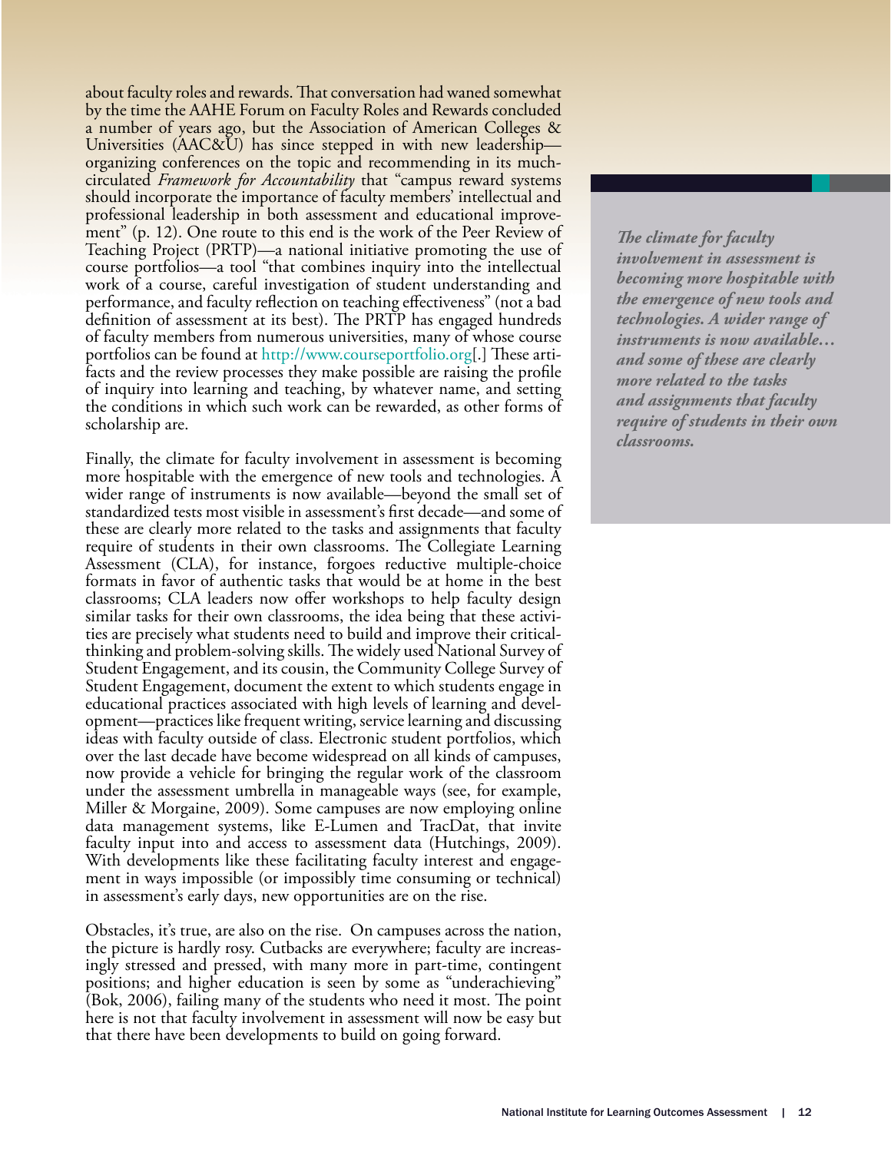about faculty roles and rewards. That conversation had waned somewhat by the time the AAHE Forum on Faculty Roles and Rewards concluded a number of years ago, but the Association of American Colleges & Universities (AAC&U) has since stepped in with new leadership organizing conferences on the topic and recommending in its muchcirculated *Framework for Accountability* that "campus reward systems should incorporate the importance of faculty members' intellectual and professional leadership in both assessment and educational improvement" (p. 12). One route to this end is the work of the Peer Review of Teaching Project (PRTP)—a national initiative promoting the use of course portfolios—a tool "that combines inquiry into the intellectual work of a course, careful investigation of student understanding and performance, and faculty reflection on teaching effectiveness" (not a bad definition of assessment at its best). The PRTP has engaged hundreds of faculty members from numerous universities, many of whose course portfolios can be found at [http://www.courseportfolio.org](http://www.courseportfolio.org/peer/pages/index.jsp)[.] These artifacts and the review processes they make possible are raising the profile of inquiry into learning and teaching, by whatever name, and setting the conditions in which such work can be rewarded, as other forms of scholarship are.

Finally, the climate for faculty involvement in assessment is becoming more hospitable with the emergence of new tools and technologies. A wider range of instruments is now available—beyond the small set of standardized tests most visible in assessment's first decade—and some of these are clearly more related to the tasks and assignments that faculty require of students in their own classrooms. The Collegiate Learning Assessment (CLA), for instance, forgoes reductive multiple-choice formats in favor of authentic tasks that would be at home in the best classrooms; CLA leaders now offer workshops to help faculty design similar tasks for their own classrooms, the idea being that these activities are precisely what students need to build and improve their criticalthinking and problem-solving skills. The widely used National Survey of Student Engagement, and its cousin, the Community College Survey of Student Engagement, document the extent to which students engage in educational practices associated with high levels of learning and development—practices like frequent writing, service learning and discussing ideas with faculty outside of class. Electronic student portfolios, which over the last decade have become widespread on all kinds of campuses, now provide a vehicle for bringing the regular work of the classroom under the assessment umbrella in manageable ways (see, for example, Miller & Morgaine, 2009). Some campuses are now employing online data management systems, like E-Lumen and TracDat, that invite faculty input into and access to assessment data (Hutchings, 2009). With developments like these facilitating faculty interest and engage- ment in ways impossible (or impossibly time consuming or technical) in assessment's early days, new opportunities are on the rise.

Obstacles, it's true, are also on the rise. On campuses across the nation, the picture is hardly rosy. Cutbacks are everywhere; faculty are increasingly stressed and pressed, with many more in part-time, contingent positions; and higher education is seen by some as "underachieving" (Bok, 2006), failing many of the students who need it most. The point here is not that faculty involvement in assessment will now be easy but that there have been developments to build on going forward.

*The climate for faculty involvement in assessment is becoming more hospitable with the emergence of new tools and technologies. A wider range of instruments is now available… and some of these are clearly more related to the tasks and assignments that faculty require of students in their own classrooms.*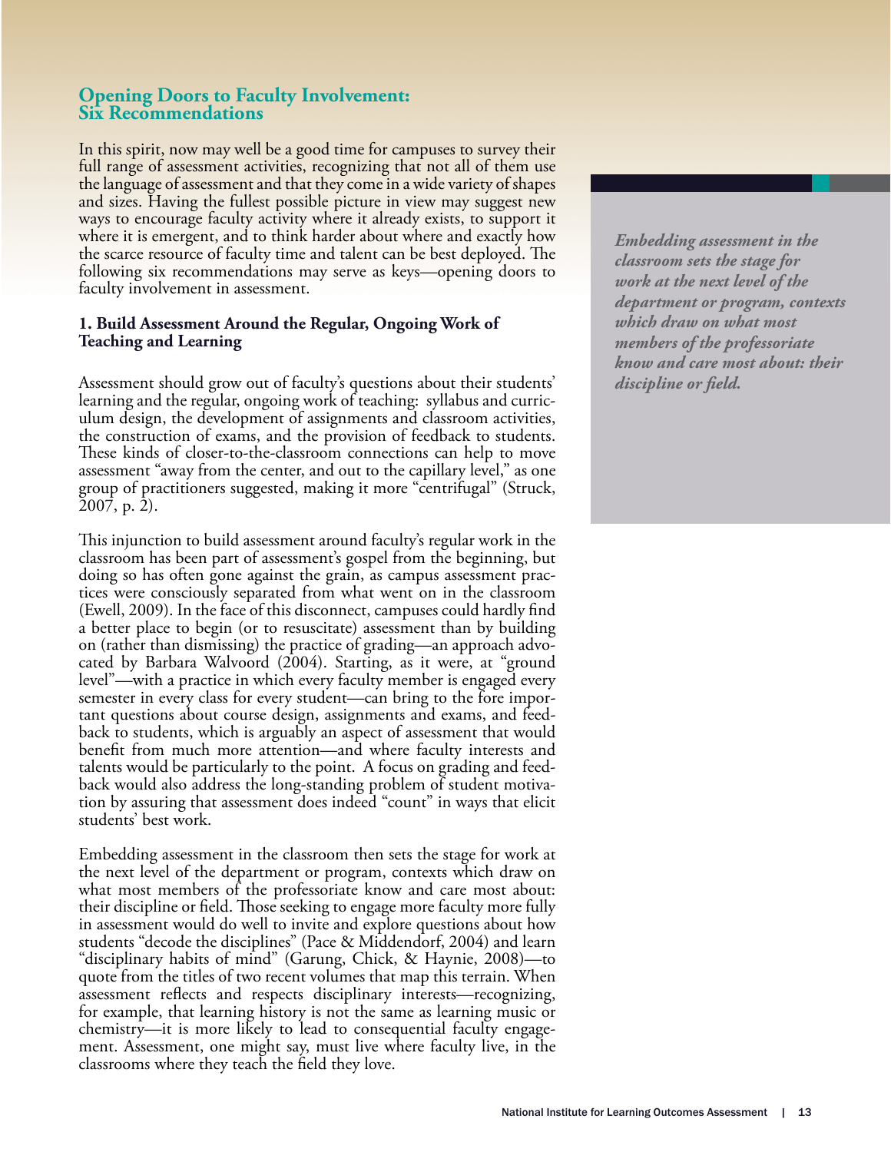## **Opening Doors to Faculty Involvement: Six Recommendations**

In this spirit, now may well be a good time for campuses to survey their full range of assessment activities, recognizing that not all of them use the language of assessment and that they come in a wide variety of shapes and sizes. Having the fullest possible picture in view may suggest new ways to encourage faculty activity where it already exists, to support it where it is emergent, and to think harder about where and exactly how the scarce resource of faculty time and talent can be best deployed. The following six recommendations may serve as keys—opening doors to faculty involvement in assessment.

#### **1. Build Assessment Around the Regular, Ongoing Work of Teaching and Learning**

Assessment should grow out of faculty's questions about their students' learning and the regular, ongoing work of teaching: syllabus and curric- ulum design, the development of assignments and classroom activities, the construction of exams, and the provision of feedback to students. These kinds of closer-to-the-classroom connections can help to move assessment "away from the center, and out to the capillary level," as one group of practitioners suggested, making it more "centrifugal" (Struck, 2007, p. 2).

This injunction to build assessment around faculty's regular work in the classroom has been part of assessment's gospel from the beginning, but doing so has often gone against the grain, as campus assessment practices were consciously separated from what went on in the classroom (Ewell, 2009). In the face of this disconnect, campuses could hardly find a better place to begin (or to resuscitate) assessment than by building on (rather than dismissing) the practice of grading—an approach advocated by Barbara Walvoord (2004). Starting, as it were, at "ground level"—with a practice in which every faculty member is engaged every semester in every class for every student—can bring to the fore important questions about course design, assignments and exams, and feedback to students, which is arguably an aspect of assessment that would benefit from much more attention—and where faculty interests and talents would be particularly to the point. A focus on grading and feedback would also address the long-standing problem of student motivation by assuring that assessment does indeed "count" in ways that elicit students' best work.

Embedding assessment in the classroom then sets the stage for work at the next level of the department or program, contexts which draw on what most members of the professoriate know and care most about: their discipline or field. Those seeking to engage more faculty more fully in assessment would do well to invite and explore questions about how students "decode the disciplines" (Pace & Middendorf, 2004) and learn "disciplinary habits of mind" (Garung, Chick, & Haynie, 2008)—to quote from the titles of two recent volumes that map this terrain. When assessment re#ects and respects disciplinary interests—recognizing, for example, that learning history is not the same as learning music or chemistry—it is more likely to lead to consequential faculty engagement. Assessment, one might say, must live where faculty live, in the classrooms where they teach the field they love.

*Embedding assessment in the classroom sets the stage for work at the next level of the department or program, contexts which draw on what most members of the professoriate know and care most about: their*  discipline or field.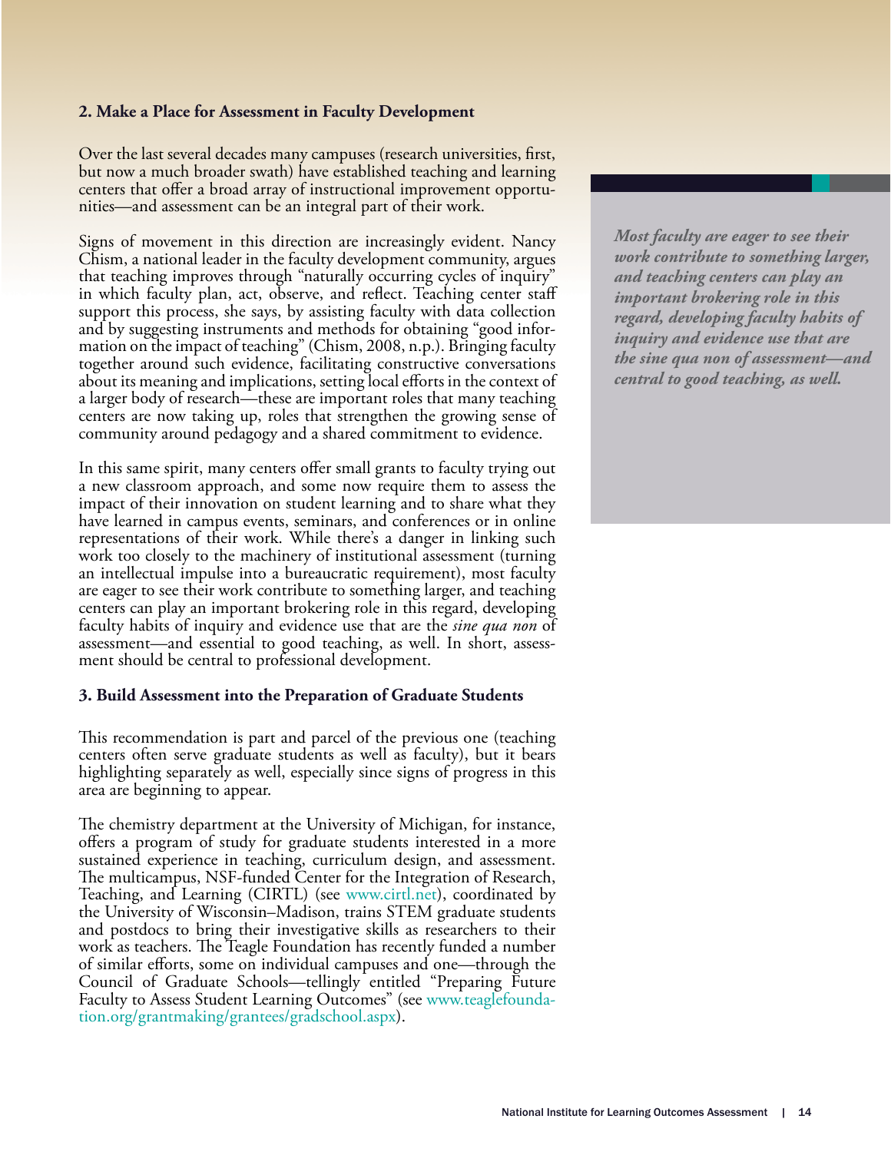### **2. Make a Place for Assessment in Faculty Development**

Over the last several decades many campuses (research universities, first, but now a much broader swath) have established teaching and learning centers that offer a broad array of instructional improvement opportunities—and assessment can be an integral part of their work.

Signs of movement in this direction are increasingly evident. Nancy Chism, a national leader in the faculty development community, argues that teaching improves through "naturally occurring cycles of inquiry" in which faculty plan, act, observe, and reflect. Teaching center staff support this process, she says, by assisting faculty with data collection and by suggesting instruments and methods for obtaining "good information on the impact of teaching" (Chism, 2008, n.p.). Bringing faculty together around such evidence, facilitating constructive conversations about its meaning and implications, setting local efforts in the context of a larger body of research—these are important roles that many teaching centers are now taking up, roles that strengthen the growing sense of community around pedagogy and a shared commitment to evidence.

In this same spirit, many centers offer small grants to faculty trying out a new classroom approach, and some now require them to assess the impact of their innovation on student learning and to share what they have learned in campus events, seminars, and conferences or in online representations of their work. While there's a danger in linking such work too closely to the machinery of institutional assessment (turning an intellectual impulse into a bureaucratic requirement), most faculty are eager to see their work contribute to something larger, and teaching centers can play an important brokering role in this regard, developing faculty habits of inquiry and evidence use that are the *sine qua non* of assessment—and essential to good teaching, as well. In short, assessment should be central to professional development.

#### **3. Build Assessment into the Preparation of Graduate Students**

This recommendation is part and parcel of the previous one (teaching centers often serve graduate students as well as faculty), but it bears highlighting separately as well, especially since signs of progress in this area are beginning to appear.

The chemistry department at the University of Michigan, for instance, offers a program of study for graduate students interested in a more sustained experience in teaching, curriculum design, and assessment. The multicampus, NSF-funded Center for the Integration of Research, Teaching, and Learning (CIRTL) (see www.cirtl.net), coordinated by the University of Wisconsin–Madison, trains STEM graduate students and postdocs to bring their investigative skills as researchers to their work as teachers. The Teagle Foundation has recently funded a number of similar efforts, some on individual campuses and one—through the Council of Graduate Schools—tellingly entitled "Preparing Future [Faculty to Assess Student Learning Outcomes" \(see www.teaglefounda](http://www.teaglefoundation.org/grantmaking/grantees/gradschool.aspx)tion.org/grantmaking/grantees/gradschool.aspx).

*Most faculty are eager to see their work contribute to something larger, and teaching centers can play an important brokering role in this regard, developing faculty habits of inquiry and evidence use that are the sine qua non of assessment—and central to good teaching, as well.*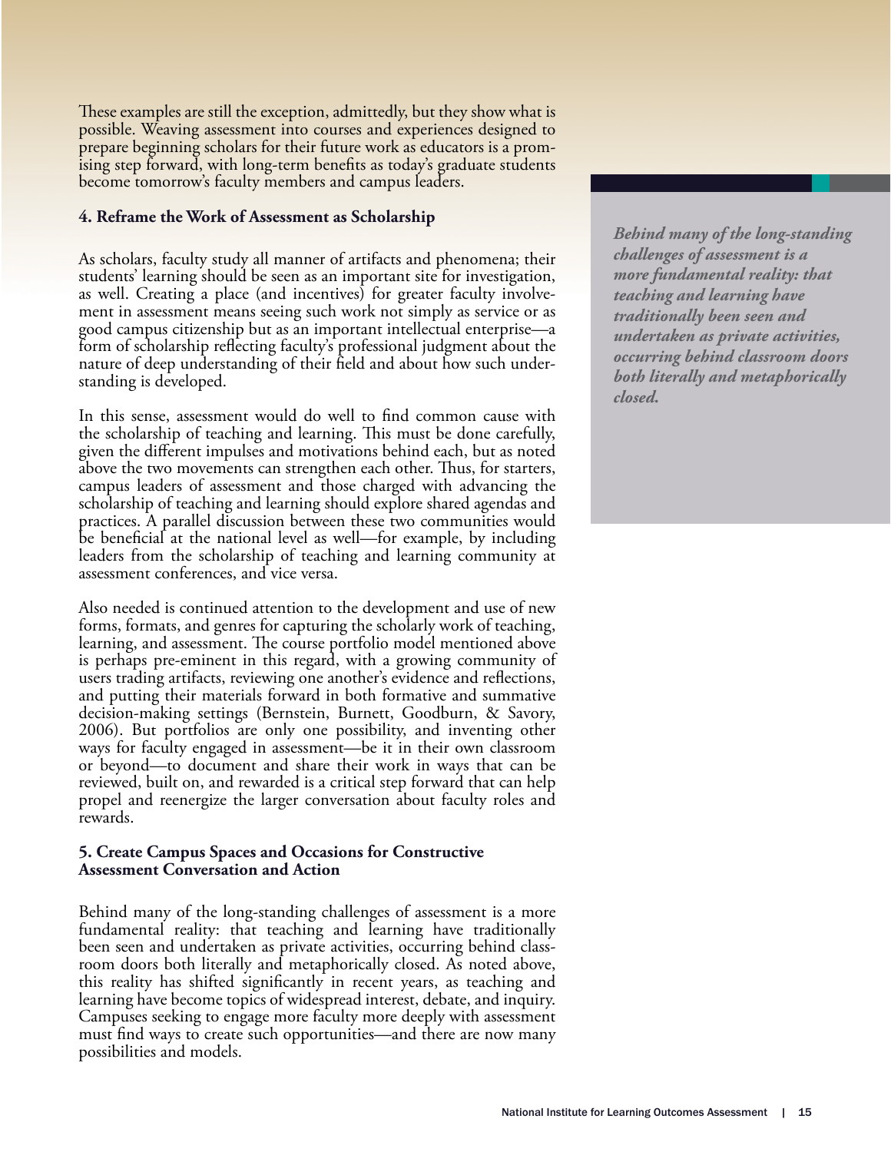These examples are still the exception, admittedly, but they show what is possible. Weaving assessment into courses and experiences designed to prepare beginning scholars for their future work as educators is a promising step forward, with long-term benefits as today's graduate students become tomorrow's faculty members and campus leaders.

### **4. Reframe the Work of Assessment as Scholarship**

As scholars, faculty study all manner of artifacts and phenomena; their students' learning should be seen as an important site for investigation, as well. Creating a place (and incentives) for greater faculty involvement in assessment means seeing such work not simply as service or as good campus citizenship but as an important intellectual enterprise—a form of scholarship reflecting faculty's professional judgment about the nature of deep understanding of their field and about how such understanding is developed.

In this sense, assessment would do well to find common cause with the scholarship of teaching and learning. This must be done carefully, given the different impulses and motivations behind each, but as noted above the two movements can strengthen each other. Thus, for starters, campus leaders of assessment and those charged with advancing the scholarship of teaching and learning should explore shared agendas and practices. A parallel discussion between these two communities would be beneficial at the national level as well—for example, by including leaders from the scholarship of teaching and learning community at assessment conferences, and vice versa.

Also needed is continued attention to the development and use of new forms, formats, and genres for capturing the scholarly work of teaching, learning, and assessment. The course portfolio model mentioned above is perhaps pre-eminent in this regard, with a growing community of users trading artifacts, reviewing one another's evidence and reflections, and putting their materials forward in both formative and summative decision-making settings (Bernstein, Burnett, Goodburn, & Savory, 2006). But portfolios are only one possibility, and inventing other ways for faculty engaged in assessment—be it in their own classroom or beyond—to document and share their work in ways that can be reviewed, built on, and rewarded is a critical step forward that can help propel and reenergize the larger conversation about faculty roles and rewards.

#### **5. Create Campus Spaces and Occasions for Constructive Assessment Conversation and Action**

Behind many of the long-standing challenges of assessment is a more fundamental reality: that teaching and learning have traditionally been seen and undertaken as private activities, occurring behind classroom doors both literally and metaphorically closed. As noted above, this reality has shifted significantly in recent years, as teaching and learning have become topics of widespread interest, debate, and inquiry. Campuses seeking to engage more faculty more deeply with assessment must find ways to create such opportunities—and there are now many possibilities and models.

*Behind many of the long-standing challenges of assessment is a more fundamental reality: that teaching and learning have traditionally been seen and undertaken as private activities, occurring behind classroom doors both literally and metaphorically closed.*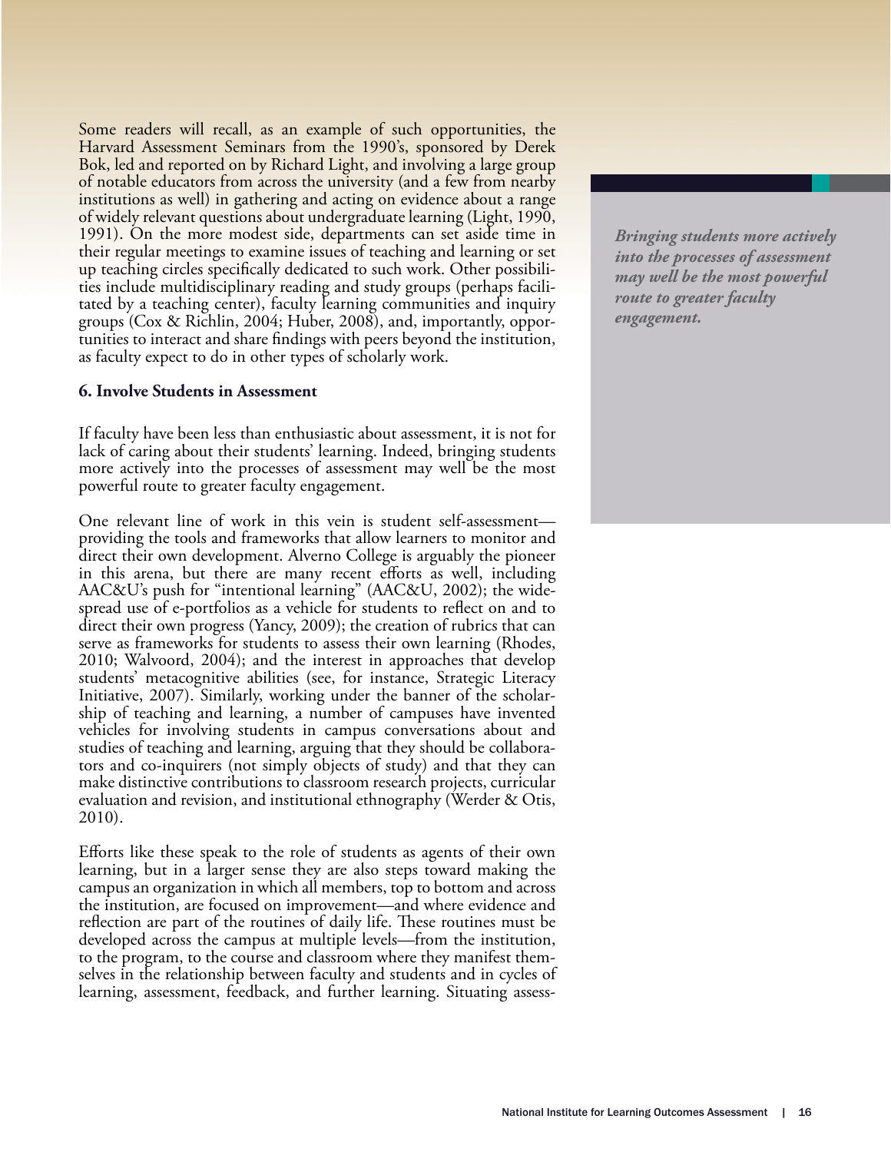Some readers will recall, as an example of such opportunities, the Harvard Assessment Seminars from the 1990's, sponsored by Derek Bok, led and reported on by Richard Light, and involving a large group of notable educators from across the university (and a few from nearby institutions as well) in gathering and acting on evidence about a range of widely relevant questions about undergraduate learning (Light, 1990, 1991). On the more modest side, departments can set aside time in their regular meetings to examine issues of teaching and learning or set up teaching circles specifically dedicated to such work. Other possibilities include multidisciplinary reading and study groups (perhaps facilitated by a teaching center), faculty learning communities and inquiry groups (Cox & Richlin, 2004; Huber, 2008), and, importantly, opportunities to interact and share findings with peers beyond the institution, as faculty expect to do in other types of scholarly work.

#### **6. Involve Students in Assessment**

If faculty have been less than enthusiastic about assessment, it is not for lack of caring about their students' learning. Indeed, bringing students more actively into the processes of assessment may well be the most powerful route to greater faculty engagement.

One relevant line of work in this vein is student self-assessment providing the tools and frameworks that allow learners to monitor and direct their own development. Alverno College is arguably the pioneer in this arena, but there are many recent efforts as well, including AAC&U's push for "intentional learning" (AAC&U, 2002); the widespread use of e-portfolios as a vehicle for students to reflect on and to direct their own progress (Yancy, 2009); the creation of rubrics that can serve as frameworks for students to assess their own learning (Rhodes, 2010; Walvoord, 2004); and the interest in approaches that develop students' metacognitive abilities (see, for instance, Strategic Literacy Initiative, 2007). Similarly, working under the banner of the scholarship of teaching and learning, a number of campuses have invented vehicles for involving students in campus conversations about and studies of teaching and learning, arguing that they should be collaborators and co-inquirers (not simply objects of study) and that they can make distinctive contributions to classroom research projects, curricular evaluation and revision, and institutional ethnography (Werder & Otis, 2010).

Efforts like these speak to the role of students as agents of their own learning, but in a larger sense they are also steps toward making the campus an organization in which all members, top to bottom and across the institution, are focused on improvement—and where evidence and reflection are part of the routines of daily life. These routines must be developed across the campus at multiple levels—from the institution, to the program, to the course and classroom where they manifest themselves in the relationship between faculty and students and in cycles of learning, assessment, feedback, and further learning. Situating assess*Bringing students more actively into the processes of assessment may well be the most powerful route to greater faculty engagement.*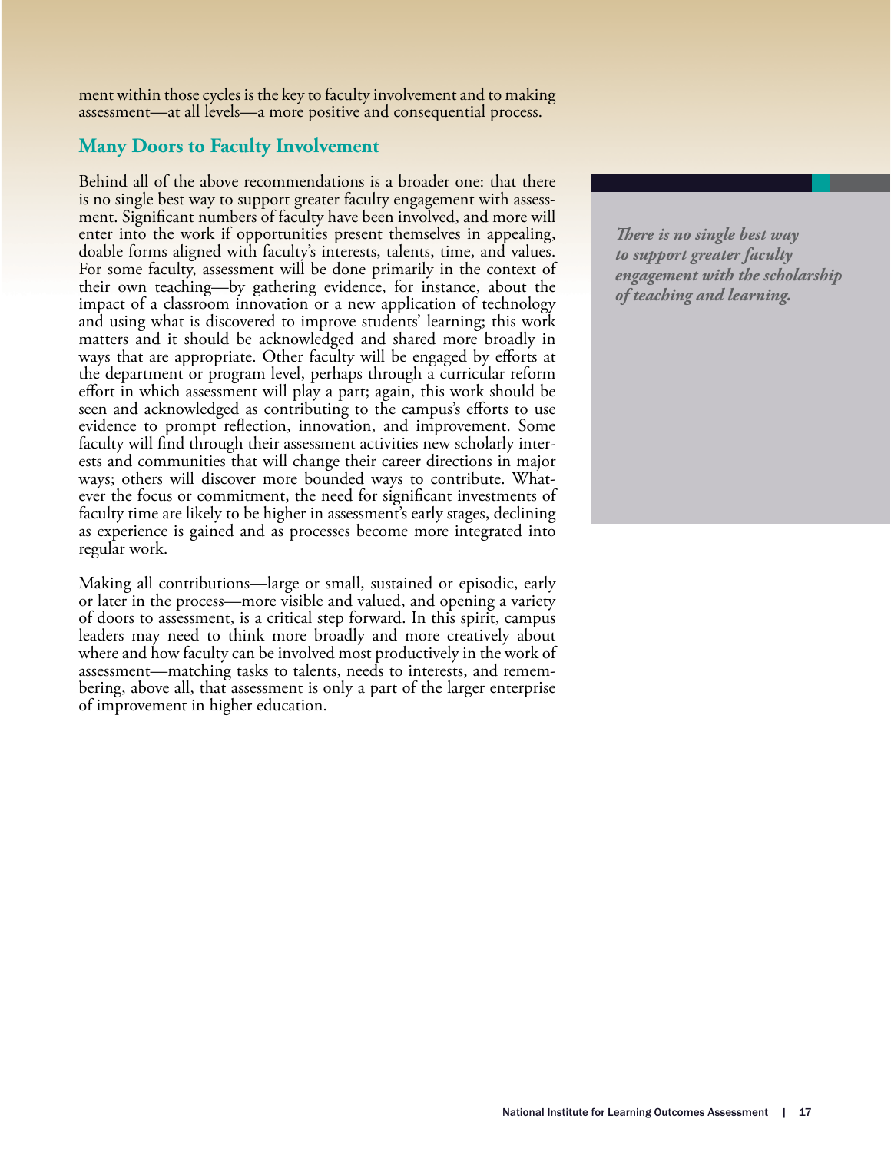ment within those cycles is the key to faculty involvement and to making assessment—at all levels—a more positive and consequential process.

## **Many Doors to Faculty Involvement**

Behind all of the above recommendations is a broader one: that there is no single best way to support greater faculty engagement with assessment. Significant numbers of faculty have been involved, and more will enter into the work if opportunities present themselves in appealing, doable forms aligned with faculty's interests, talents, time, and values. For some faculty, assessment will be done primarily in the context of their own teaching—by gathering evidence, for instance, about the impact of a classroom innovation or a new application of technology and using what is discovered to improve students' learning; this work matters and it should be acknowledged and shared more broadly in ways that are appropriate. Other faculty will be engaged by efforts at the department or program level, perhaps through a curricular reform effort in which assessment will play a part; again, this work should be seen and acknowledged as contributing to the campus's efforts to use evidence to prompt reflection, innovation, and improvement. Some faculty will find through their assessment activities new scholarly interests and communities that will change their career directions in major ways; others will discover more bounded ways to contribute. Whatever the focus or commitment, the need for significant investments of faculty time are likely to be higher in assessment's early stages, declining as experience is gained and as processes become more integrated into regular work.

Making all contributions—large or small, sustained or episodic, early or later in the process—more visible and valued, and opening a variety of doors to assessment, is a critical step forward. In this spirit, campus leaders may need to think more broadly and more creatively about where and how faculty can be involved most productively in the work of assessment—matching tasks to talents, needs to interests, and remembering, above all, that assessment is only a part of the larger enterprise of improvement in higher education.

**There is no single best way** *to support greater faculty engagement with the scholarship of teaching and learning.*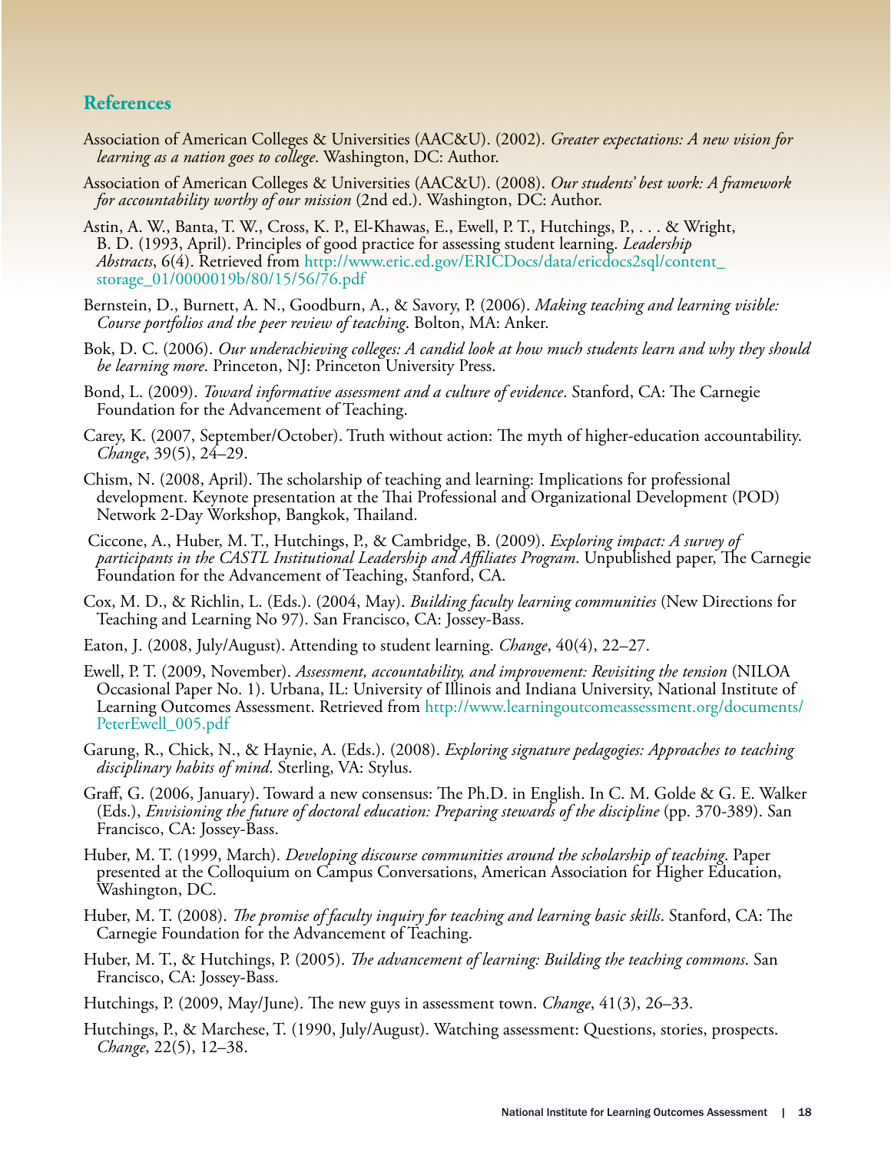## **References**

- Association of American Colleges & Universities (AAC&U). (2002). *Greater expectations: A new vision for learning as a nation goes to college*. Washington, DC: Author.
- Association of American Colleges & Universities (AAC&U). (2008). *Our students' best work: A framework for accountability worthy of our mission* (2nd ed.). Washington, DC: Author.
- Astin, A. W., Banta, T. W., Cross, K. P., El-Khawas, E., Ewell, P. T., Hutchings, P., . . . & Wright, B. D. (1993, April). Principles of good practice for assessing student learning. *Leadership Abstracts*[, 6\(4\). Retrieved from http://www.eric.ed.gov/ERICDocs/data/ericdocs2sql/content\\_](http://www.eric.ed.gov/ERICDocs/data/ericdocs2sql/content_storage_01/0000019b/80/15/56/76.pdf) storage\_01/0000019b/80/15/56/76.pdf
- Bernstein, D., Burnett, A. N., Goodburn, A., & Savory, P. (2006). *Making teaching and learning visible: Course portfolios and the peer review of teaching*. Bolton, MA: Anker.
- Bok, D. C. (2006). *Our underachieving colleges: A candid look at how much students learn and why they should be learning more*. Princeton, NJ: Princeton University Press.
- Bond, L. (2009). *Toward informative assessment and a culture of evidence*. Stanford, CA: The Carnegie Foundation for the Advancement of Teaching.
- Carey, K. (2007, September/October). Truth without action: The myth of higher-education accountability. *Change*, 39(5), 24–29.
- Chism, N. (2008, April). The scholarship of teaching and learning: Implications for professional development. Keynote presentation at the Thai Professional and Organizational Development (POD) Network 2-Day Workshop, Bangkok, Thailand.
- Ciccone, A., Huber, M. T., Hutchings, P., & Cambridge, B. (2009). *Exploring impact: A survey of*  p*articipants in the CASTL Institutional Leadership and Affiliates Program*. Unpublished paper, The Carnegie Foundation for the Advancement of Teaching, Stanford, CA.
- Cox, M. D., & Richlin, L. (Eds.). (2004, May). *Building faculty learning communities* (New Directions for Teaching and Learning No 97). San Francisco, CA: Jossey-Bass.
- Eaton, J. (2008, July/August). Attending to student learning. *Change*, 40(4), 22–27.
- Ewell, P. T. (2009, November). *Assessment, accountability, and improvement: Revisiting the tension* (NILOA Occasional Paper No. 1). Urbana, IL: University of Illinois and Indiana University, National Institute of [Learning Outcomes Assessment. Retrieved from http://www.learningoutcomeassessment.org/documents/](http://www.learningoutcomeassessment.org/occasionalpaperone.htm) PeterEwell\_005.pdf
- Garung, R., Chick, N., & Haynie, A. (Eds.). (2008). *Exploring signature pedagogies: Approaches to teaching disciplinary habits of mind*. Sterling, VA: Stylus.
- Graff, G. (2006, January). Toward a new consensus: The Ph.D. in English. In C. M. Golde & G. E. Walker (Eds.), *Envisioning the future of doctoral education: Preparing stewards of the discipline* (pp. 370-389). San Francisco, CA: Jossey-Bass.
- Huber, M. T. (1999, March). *Developing discourse communities around the scholarship of teaching*. Paper presented at the Colloquium on Campus Conversations, American Association for Higher Education, Washington, DC.
- Huber, M. T. (2008). *The promise of faculty inquiry for teaching and learning basic skills*. Stanford, CA: The Carnegie Foundation for the Advancement of Teaching.
- Huber, M. T., & Hutchings, P. (2005). *The advancement of learning: Building the teaching commons*. San Francisco, CA: Jossey-Bass.
- Hutchings, P. (2009, May/June). The new guys in assessment town. *Change*, 41(3), 26–33.
- Hutchings, P., & Marchese, T. (1990, July/August). Watching assessment: Questions, stories, prospects. *Change*, 22(5), 12–38.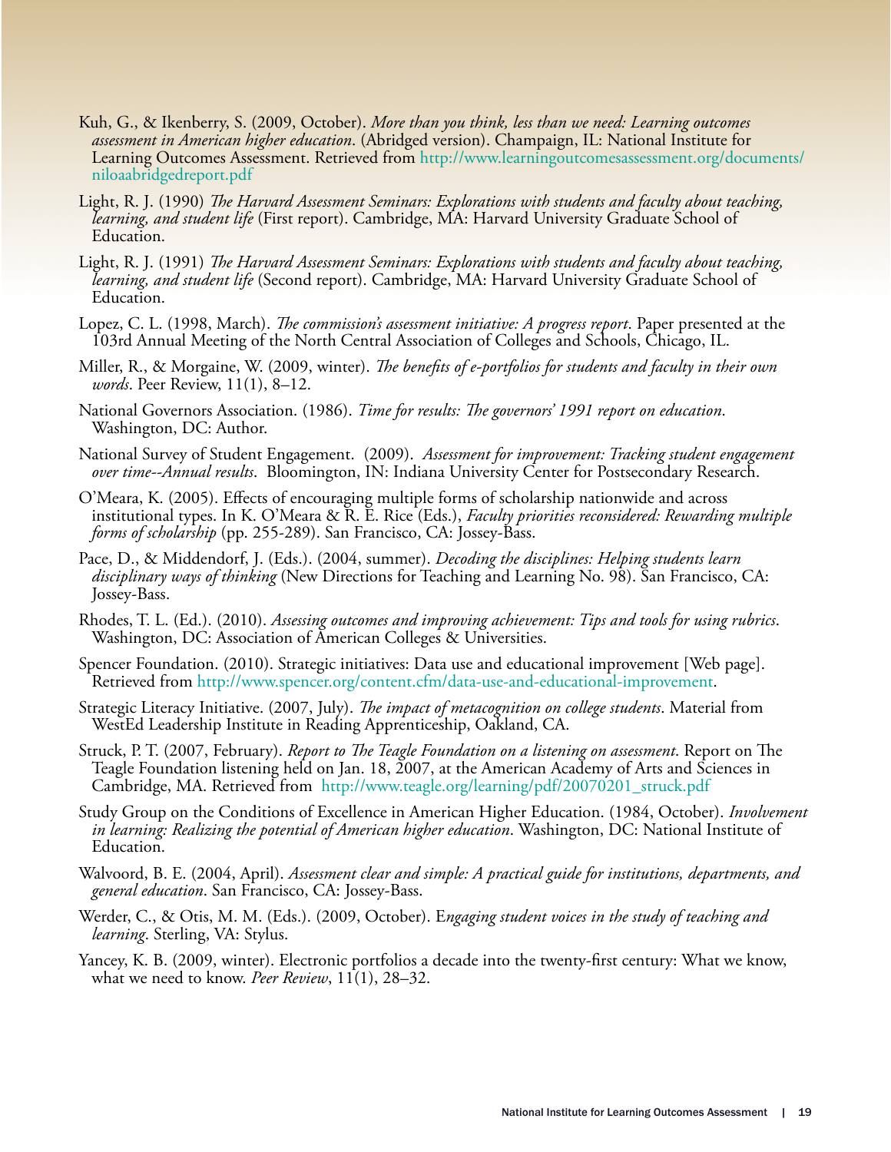- Kuh, G., & Ikenberry, S. (2009, October). *More than you think, less than we need: Learning outcomes assessment in American higher education*. (Abridged version). Champaign, IL: National Institute for [Learning Outcomes Assessment. Retrieved from http://www.learningoutcomesassessment.org/documents/](http://www.learningoutcomesassessment.org/NILOAsurveyresults09.htm) niloaabridgedreport.pdf
- Light, R. J. (1990) *The Harvard Assessment Seminars: Explorations with students and faculty about teaching*, *learning, and student life* (First report). Cambridge, MA: Harvard University Graduate School of Education.
- Light, R. J. (1991) *The Harvard Assessment Seminars: Explorations with students and faculty about teaching*, *learning, and student life* (Second report). Cambridge, MA: Harvard University Graduate School of Education.
- Lopez, C. L. (1998, March). *The commission's assessment initiative: A progress report*. Paper presented at the 103rd Annual Meeting of the North Central Association of Colleges and Schools, Chicago, IL.
- Miller, R., & Morgaine, W. (2009, winter). *The benefits of e-portfolios for students and faculty in their own words*. Peer Review, 11(1), 8–12.
- National Governors Association. (1986). *Time for results: The governors' 1991 report on education*. Washington, DC: Author.
- National Survey of Student Engagement. (2009). *Assessment for improvement: Tracking student engagement over time--Annual results*. Bloomington, IN: Indiana University Center for Postsecondary Research.
- O'Meara, K. (2005). E"ects of encouraging multiple forms of scholarship nationwide and across institutional types. In K. O'Meara & R. E. Rice (Eds.), *Faculty priorities reconsidered: Rewarding multiple forms of scholarship* (pp. 255-289). San Francisco, CA: Jossey-Bass.
- Pace, D., & Middendorf, J. (Eds.). (2004, summer). *Decoding the disciplines: Helping students learn disciplinary ways of thinking* (New Directions for Teaching and Learning No. 98). San Francisco, CA: Jossey-Bass.
- Rhodes, T. L. (Ed.). (2010). *Assessing outcomes and improving achievement: Tips and tools for using rubrics*. Washington, DC: Association of American Colleges & Universities.
- Spencer Foundation. (2010). Strategic initiatives: Data use and educational improvement [Web page]. Retrieved from<http://www.spencer.org/content.cfm/data-use-and-educational-improvement>.
- Strategic Literacy Initiative. (2007, July). *The impact of metacognition on college students*. Material from WestEd Leadership Institute in Reading Apprenticeship, Oakland, CA.
- Struck, P. T. (2007, February). *Report to The Teagle Foundation on a listening on assessment*. Report on The Teagle Foundation listening held on Jan. 18, 2007, at the American Academy of Arts and Sciences in Cambridge, MA. Retrieved from http://www.teagle.org/learning/pdf/20070201\_struck.pdf
- Study Group on the Conditions of Excellence in American Higher Education. (1984, October). *Involvement in learning: Realizing the potential of American higher education*. Washington, DC: National Institute of Education.
- Walvoord, B. E. (2004, April). *Assessment clear and simple: A practical guide for institutions, departments, and general education*. San Francisco, CA: Jossey-Bass.
- Werder, C., & Otis, M. M. (Eds.). (2009, October). E*ngaging student voices in the study of teaching and learning*. Sterling, VA: Stylus.
- Yancey, K. B. (2009, winter). Electronic portfolios a decade into the twenty-first century: What we know, what we need to know. *Peer Review*, 11(1), 28–32.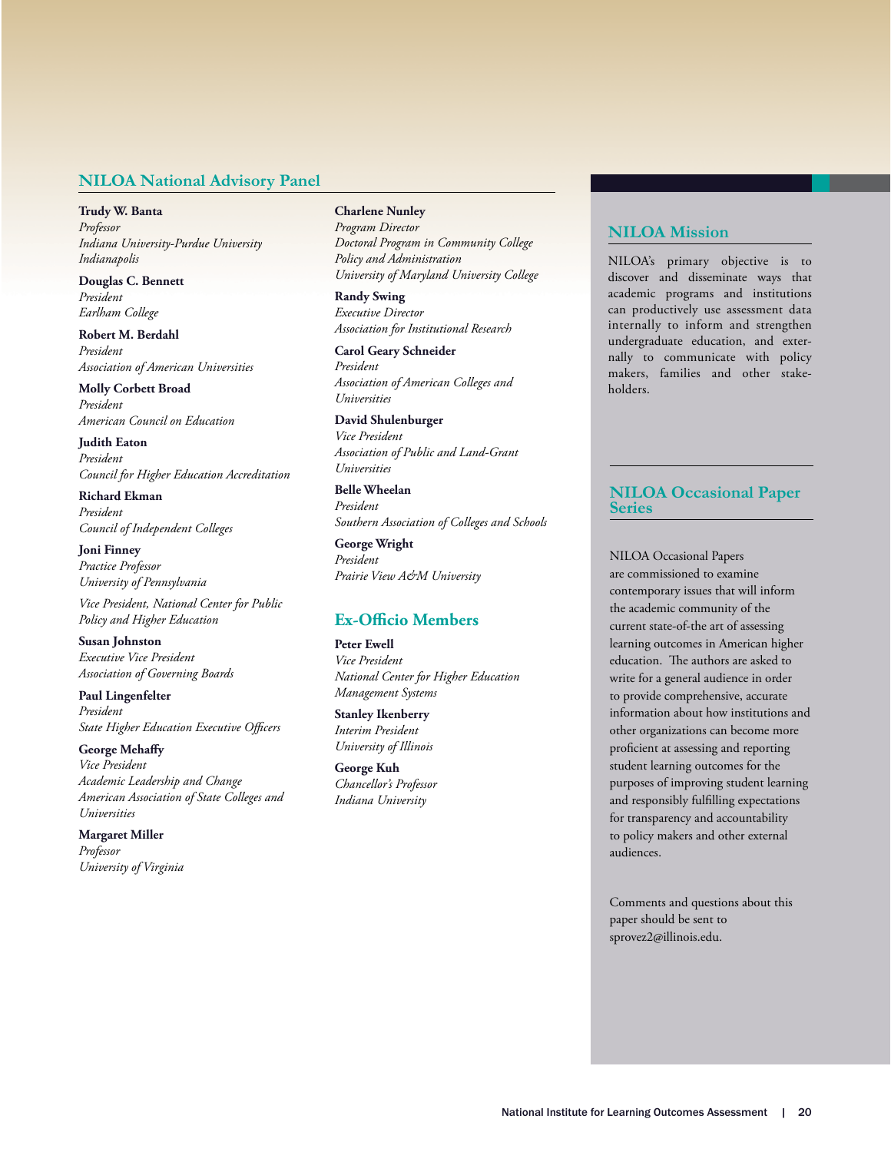#### **NILOA National Advisory Panel**

**Trudy W. Banta** *Professor Indiana University-Purdue University Indianapolis*

**Douglas C. Bennett** *President Earlham College*

**Robert M. Berdahl** *President Association of American Universities*

**Molly Corbett Broad** *President American Council on Education*

**Judith Eaton** *President Council for Higher Education Accreditation*

**Richard Ekman** *President Council of Independent Colleges*

**Joni Finney** *Practice Professor University of Pennsylvania*

*Vice President, National Center for Public Policy and Higher Education*

**Susan Johnston** *Executive Vice President Association of Governing Boards*

**Paul Lingenfelter** *President* **State Higher Education Executive Officers** 

**George Mehaffy** *Vice President Academic Leadership and Change American Association of State Colleges and Universities*

**Margaret Miller** *Professor University of Virginia*

#### **Charlene Nunley**

*Program Director Doctoral Program in Community College Policy and Administration University of Maryland University College*

**Randy Swing** *Executive Director Association for Institutional Research*

**Carol Geary Schneider** *President Association of American Colleges and Universities*

**David Shulenburger** *Vice President Association of Public and Land-Grant Universities* 

**Belle Wheelan** *President Southern Association of Colleges and Schools*

**George Wright** *President Prairie View A&M University*

## **Ex-Officio Members**

**Peter Ewell** *Vice President National Center for Higher Education Management Systems*

**Stanley Ikenberry** *Interim President University of Illinois*

**George Kuh** *Chancellor's Professor Indiana University*

#### **NILOA** Mission

NILOA's primary objective is to discover and disseminate ways that academic programs and institutions can productively use assessment data internally to inform and strengthen undergraduate education, and externally to communicate with policy makers, families and other stakeholders.

### **NILOA Occasional Paper Series**

NILOA Occasional Papers are commissioned to examine contemporary issues that will inform the academic community of the current state-of-the art of assessing learning outcomes in American higher education. The authors are asked to write for a general audience in order to provide comprehensive, accurate information about how institutions and other organizations can become more proficient at assessing and reporting student learning outcomes for the purposes of improving student learning and responsibly fulfilling expectations for transparency and accountability to policy makers and other external audiences.

Comments and questions about this paper should be sent to sprovez2@illinois.edu.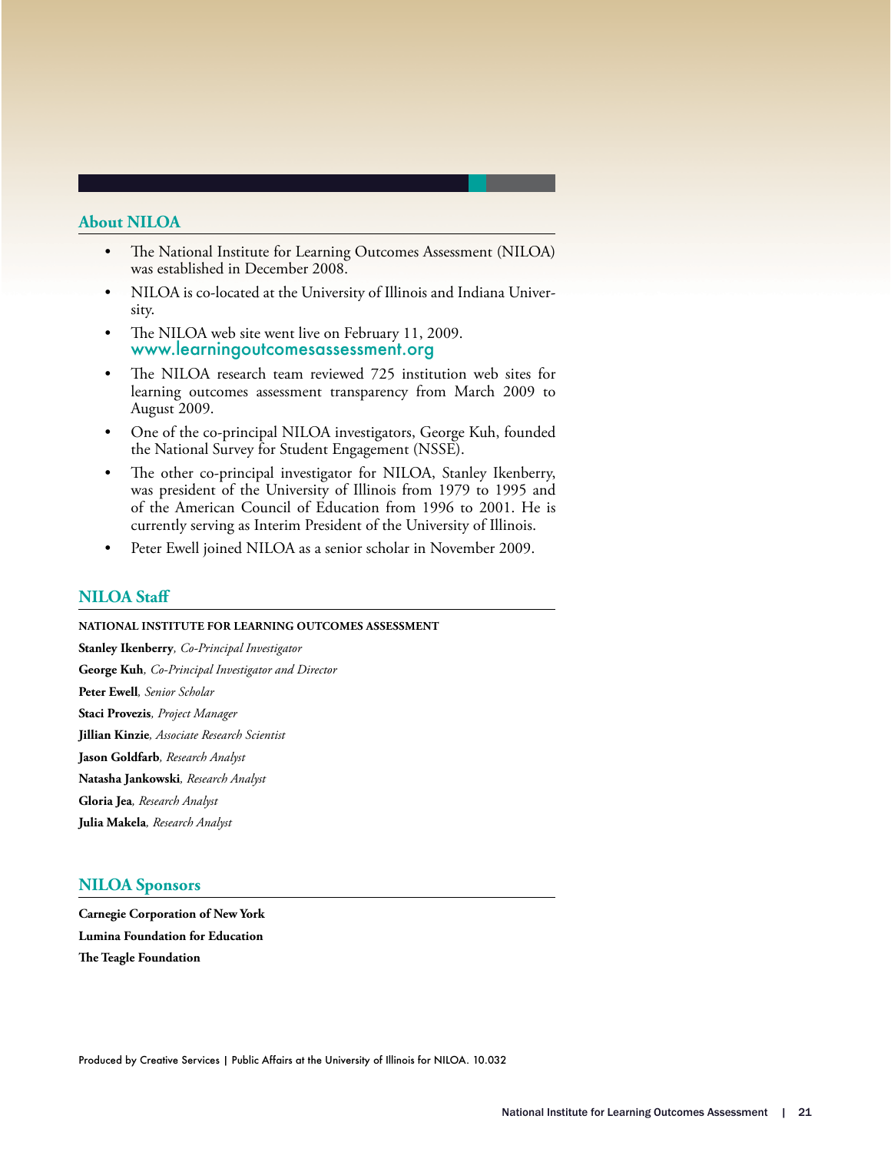#### **About NILOA**

- The National Institute for Learning Outcomes Assessment (NILOA) was established in December 2008.
- NILOA is co-located at the University of Illinois and Indiana University.
- The NILOA web site went live on February 11, 2009. www.learningoutcomesassessment.org
- The NILOA research team reviewed 725 institution web sites for learning outcomes assessment transparency from March 2009 to August 2009.
- One of the co-principal NILOA investigators, George Kuh, founded the National Survey for Student Engagement (NSSE).
- The other co-principal investigator for NILOA, Stanley Ikenberry, was president of the University of Illinois from 1979 to 1995 and of the American Council of Education from 1996 to 2001. He is currently serving as Interim President of the University of Illinois.
- Peter Ewell joined NILOA as a senior scholar in November 2009.

#### **NILOA** Staff

#### **NATIONAL INSTITUTE FOR LEARNING OUTCOMES ASSESSMENT**

**Stanley Ikenberry***, Co-Principal Investigator* **George Kuh***, Co-Principal Investigator and Director*

**Peter Ewell***, Senior Scholar*

**Staci Provezis***, Project Manager*

**Jillian Kinzie***, Associate Research Scientist*

**Jason Goldfarb***, Research Analyst*

**Natasha Jankowski***, Research Analyst*

**Gloria Jea***, Research Analyst*

**Julia Makela***, Research Analyst*

#### **NILOA Sponsors**

**Carnegie Corporation of New York Lumina Foundation for Education The Teagle Foundation**